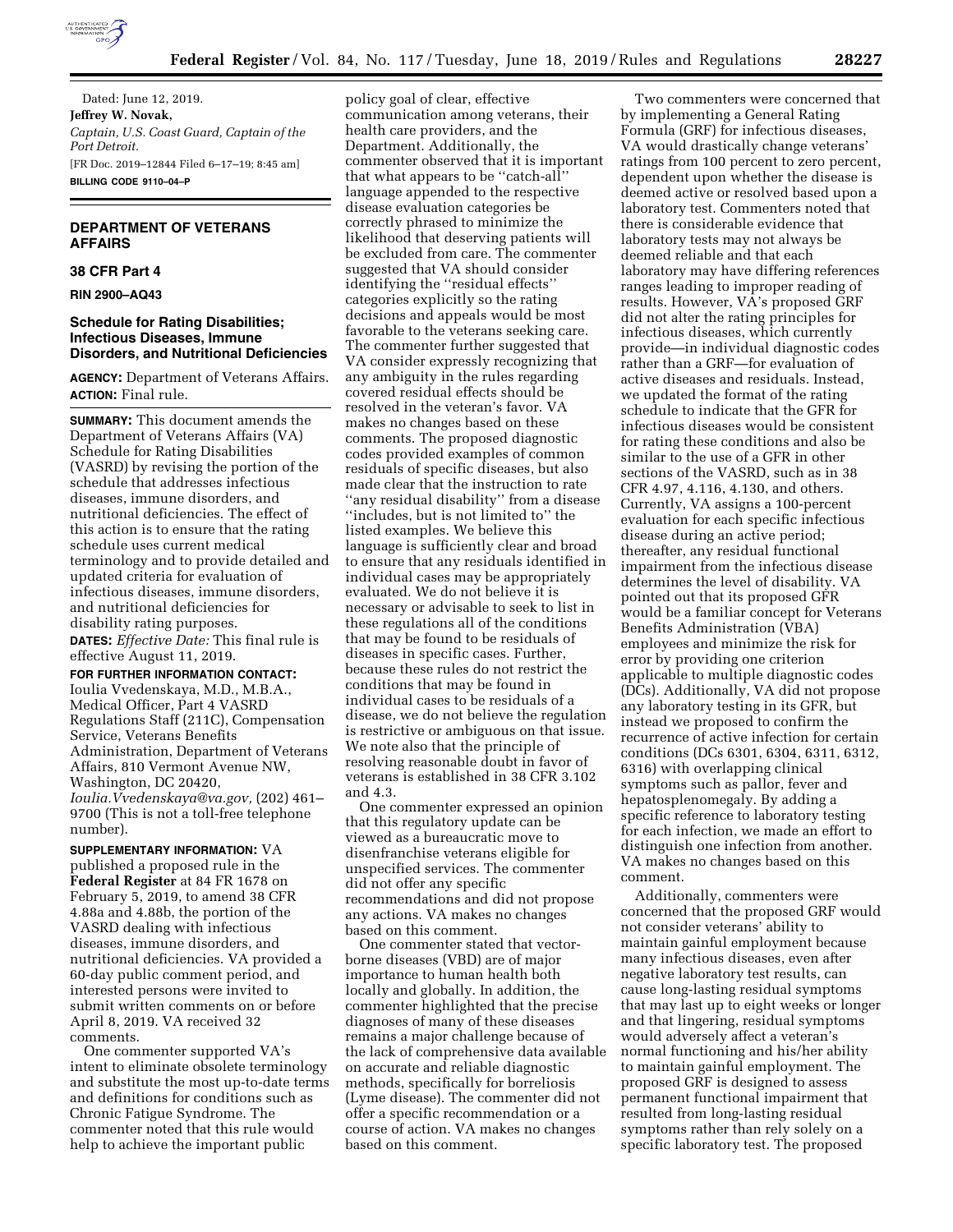

Dated: June 12, 2019. **Jeffrey W. Novak,**  *Captain, U.S. Coast Guard, Captain of the Port Detroit.*  [FR Doc. 2019–12844 Filed 6–17–19; 8:45 am] **BILLING CODE 9110–04–P** 

# **DEPARTMENT OF VETERANS AFFAIRS**

# **38 CFR Part 4**

**RIN 2900–AQ43** 

#### **Schedule for Rating Disabilities; Infectious Diseases, Immune Disorders, and Nutritional Deficiencies**

**AGENCY:** Department of Veterans Affairs. **ACTION:** Final rule.

**SUMMARY:** This document amends the Department of Veterans Affairs (VA) Schedule for Rating Disabilities (VASRD) by revising the portion of the schedule that addresses infectious diseases, immune disorders, and nutritional deficiencies. The effect of this action is to ensure that the rating schedule uses current medical terminology and to provide detailed and updated criteria for evaluation of infectious diseases, immune disorders, and nutritional deficiencies for disability rating purposes. **DATES:** *Effective Date:* This final rule is

effective August 11, 2019.

**FOR FURTHER INFORMATION CONTACT:** 

Ioulia Vvedenskaya, M.D., M.B.A., Medical Officer, Part 4 VASRD Regulations Staff (211C), Compensation Service, Veterans Benefits Administration, Department of Veterans Affairs, 810 Vermont Avenue NW, Washington, DC 20420, *Ioulia.Vvedenskaya@va.gov,* (202) 461– 9700 (This is not a toll-free telephone number).

**SUPPLEMENTARY INFORMATION:** VA published a proposed rule in the **Federal Register** at 84 FR 1678 on February 5, 2019, to amend 38 CFR 4.88a and 4.88b, the portion of the VASRD dealing with infectious diseases, immune disorders, and nutritional deficiencies. VA provided a 60-day public comment period, and interested persons were invited to submit written comments on or before April 8, 2019. VA received 32 comments.

One commenter supported VA's intent to eliminate obsolete terminology and substitute the most up-to-date terms and definitions for conditions such as Chronic Fatigue Syndrome. The commenter noted that this rule would help to achieve the important public

policy goal of clear, effective communication among veterans, their health care providers, and the Department. Additionally, the commenter observed that it is important that what appears to be ''catch-all'' language appended to the respective disease evaluation categories be correctly phrased to minimize the likelihood that deserving patients will be excluded from care. The commenter suggested that VA should consider identifying the ''residual effects'' categories explicitly so the rating decisions and appeals would be most favorable to the veterans seeking care. The commenter further suggested that VA consider expressly recognizing that any ambiguity in the rules regarding covered residual effects should be resolved in the veteran's favor. VA makes no changes based on these comments. The proposed diagnostic codes provided examples of common residuals of specific diseases, but also made clear that the instruction to rate ''any residual disability'' from a disease ''includes, but is not limited to'' the listed examples. We believe this language is sufficiently clear and broad to ensure that any residuals identified in individual cases may be appropriately evaluated. We do not believe it is necessary or advisable to seek to list in these regulations all of the conditions that may be found to be residuals of diseases in specific cases. Further, because these rules do not restrict the conditions that may be found in individual cases to be residuals of a disease, we do not believe the regulation is restrictive or ambiguous on that issue. We note also that the principle of resolving reasonable doubt in favor of veterans is established in 38 CFR 3.102 and 4.3.

One commenter expressed an opinion that this regulatory update can be viewed as a bureaucratic move to disenfranchise veterans eligible for unspecified services. The commenter did not offer any specific recommendations and did not propose any actions. VA makes no changes based on this comment.

One commenter stated that vectorborne diseases (VBD) are of major importance to human health both locally and globally. In addition, the commenter highlighted that the precise diagnoses of many of these diseases remains a major challenge because of the lack of comprehensive data available on accurate and reliable diagnostic methods, specifically for borreliosis (Lyme disease). The commenter did not offer a specific recommendation or a course of action. VA makes no changes based on this comment.

Two commenters were concerned that by implementing a General Rating Formula (GRF) for infectious diseases, VA would drastically change veterans' ratings from 100 percent to zero percent, dependent upon whether the disease is deemed active or resolved based upon a laboratory test. Commenters noted that there is considerable evidence that laboratory tests may not always be deemed reliable and that each laboratory may have differing references ranges leading to improper reading of results. However, VA's proposed GRF did not alter the rating principles for infectious diseases, which currently provide—in individual diagnostic codes rather than a GRF—for evaluation of active diseases and residuals. Instead, we updated the format of the rating schedule to indicate that the GFR for infectious diseases would be consistent for rating these conditions and also be similar to the use of a GFR in other sections of the VASRD, such as in 38 CFR 4.97, 4.116, 4.130, and others. Currently, VA assigns a 100-percent evaluation for each specific infectious disease during an active period; thereafter, any residual functional impairment from the infectious disease determines the level of disability. VA pointed out that its proposed GFR would be a familiar concept for Veterans Benefits Administration (VBA) employees and minimize the risk for error by providing one criterion applicable to multiple diagnostic codes (DCs). Additionally, VA did not propose any laboratory testing in its GFR, but instead we proposed to confirm the recurrence of active infection for certain conditions (DCs 6301, 6304, 6311, 6312, 6316) with overlapping clinical symptoms such as pallor, fever and hepatosplenomegaly. By adding a specific reference to laboratory testing for each infection, we made an effort to distinguish one infection from another. VA makes no changes based on this comment.

Additionally, commenters were concerned that the proposed GRF would not consider veterans' ability to maintain gainful employment because many infectious diseases, even after negative laboratory test results, can cause long-lasting residual symptoms that may last up to eight weeks or longer and that lingering, residual symptoms would adversely affect a veteran's normal functioning and his/her ability to maintain gainful employment. The proposed GRF is designed to assess permanent functional impairment that resulted from long-lasting residual symptoms rather than rely solely on a specific laboratory test. The proposed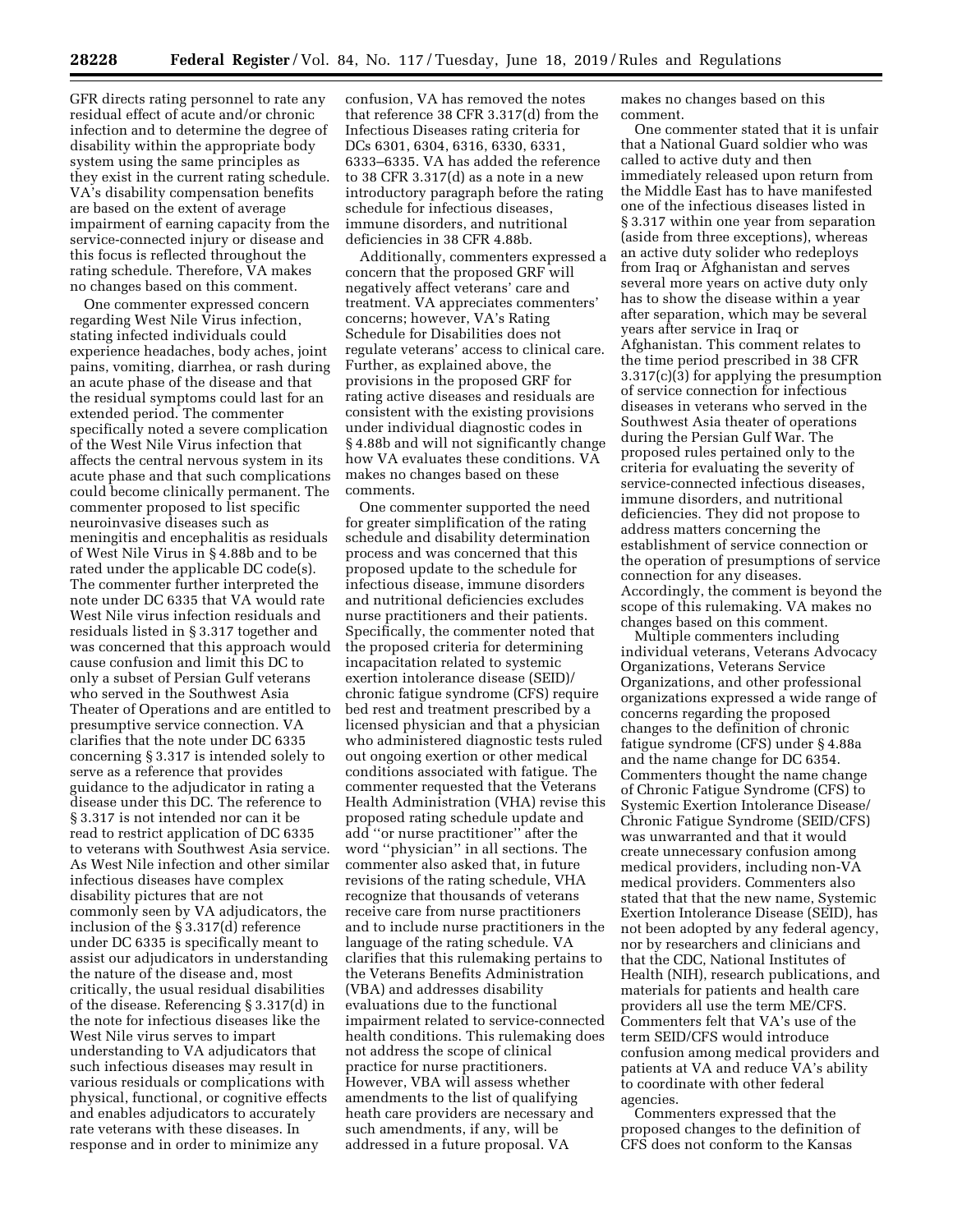GFR directs rating personnel to rate any residual effect of acute and/or chronic infection and to determine the degree of disability within the appropriate body system using the same principles as they exist in the current rating schedule. VA's disability compensation benefits are based on the extent of average impairment of earning capacity from the service-connected injury or disease and this focus is reflected throughout the rating schedule. Therefore, VA makes no changes based on this comment.

One commenter expressed concern regarding West Nile Virus infection, stating infected individuals could experience headaches, body aches, joint pains, vomiting, diarrhea, or rash during an acute phase of the disease and that the residual symptoms could last for an extended period. The commenter specifically noted a severe complication of the West Nile Virus infection that affects the central nervous system in its acute phase and that such complications could become clinically permanent. The commenter proposed to list specific neuroinvasive diseases such as meningitis and encephalitis as residuals of West Nile Virus in § 4.88b and to be rated under the applicable DC code(s). The commenter further interpreted the note under DC 6335 that VA would rate West Nile virus infection residuals and residuals listed in § 3.317 together and was concerned that this approach would cause confusion and limit this DC to only a subset of Persian Gulf veterans who served in the Southwest Asia Theater of Operations and are entitled to presumptive service connection. VA clarifies that the note under DC 6335 concerning § 3.317 is intended solely to serve as a reference that provides guidance to the adjudicator in rating a disease under this DC. The reference to § 3.317 is not intended nor can it be read to restrict application of DC 6335 to veterans with Southwest Asia service. As West Nile infection and other similar infectious diseases have complex disability pictures that are not commonly seen by VA adjudicators, the inclusion of the § 3.317(d) reference under DC 6335 is specifically meant to assist our adjudicators in understanding the nature of the disease and, most critically, the usual residual disabilities of the disease. Referencing § 3.317(d) in the note for infectious diseases like the West Nile virus serves to impart understanding to VA adjudicators that such infectious diseases may result in various residuals or complications with physical, functional, or cognitive effects and enables adjudicators to accurately rate veterans with these diseases. In response and in order to minimize any

confusion, VA has removed the notes that reference 38 CFR 3.317(d) from the Infectious Diseases rating criteria for DCs 6301, 6304, 6316, 6330, 6331, 6333–6335. VA has added the reference to 38 CFR 3.317(d) as a note in a new introductory paragraph before the rating schedule for infectious diseases, immune disorders, and nutritional deficiencies in 38 CFR 4.88b.

Additionally, commenters expressed a concern that the proposed GRF will negatively affect veterans' care and treatment. VA appreciates commenters' concerns; however, VA's Rating Schedule for Disabilities does not regulate veterans' access to clinical care. Further, as explained above, the provisions in the proposed GRF for rating active diseases and residuals are consistent with the existing provisions under individual diagnostic codes in § 4.88b and will not significantly change how VA evaluates these conditions. VA makes no changes based on these comments.

One commenter supported the need for greater simplification of the rating schedule and disability determination process and was concerned that this proposed update to the schedule for infectious disease, immune disorders and nutritional deficiencies excludes nurse practitioners and their patients. Specifically, the commenter noted that the proposed criteria for determining incapacitation related to systemic exertion intolerance disease (SEID)/ chronic fatigue syndrome (CFS) require bed rest and treatment prescribed by a licensed physician and that a physician who administered diagnostic tests ruled out ongoing exertion or other medical conditions associated with fatigue. The commenter requested that the Veterans Health Administration (VHA) revise this proposed rating schedule update and add ''or nurse practitioner'' after the word ''physician'' in all sections. The commenter also asked that, in future revisions of the rating schedule, VHA recognize that thousands of veterans receive care from nurse practitioners and to include nurse practitioners in the language of the rating schedule. VA clarifies that this rulemaking pertains to the Veterans Benefits Administration (VBA) and addresses disability evaluations due to the functional impairment related to service-connected health conditions. This rulemaking does not address the scope of clinical practice for nurse practitioners. However, VBA will assess whether amendments to the list of qualifying heath care providers are necessary and such amendments, if any, will be addressed in a future proposal. VA

makes no changes based on this comment.

One commenter stated that it is unfair that a National Guard soldier who was called to active duty and then immediately released upon return from the Middle East has to have manifested one of the infectious diseases listed in § 3.317 within one year from separation (aside from three exceptions), whereas an active duty solider who redeploys from Iraq or Afghanistan and serves several more years on active duty only has to show the disease within a year after separation, which may be several years after service in Iraq or Afghanistan. This comment relates to the time period prescribed in 38 CFR 3.317(c)(3) for applying the presumption of service connection for infectious diseases in veterans who served in the Southwest Asia theater of operations during the Persian Gulf War. The proposed rules pertained only to the criteria for evaluating the severity of service-connected infectious diseases, immune disorders, and nutritional deficiencies. They did not propose to address matters concerning the establishment of service connection or the operation of presumptions of service connection for any diseases. Accordingly, the comment is beyond the scope of this rulemaking. VA makes no changes based on this comment.

Multiple commenters including individual veterans, Veterans Advocacy Organizations, Veterans Service Organizations, and other professional organizations expressed a wide range of concerns regarding the proposed changes to the definition of chronic fatigue syndrome (CFS) under § 4.88a and the name change for DC 6354. Commenters thought the name change of Chronic Fatigue Syndrome (CFS) to Systemic Exertion Intolerance Disease/ Chronic Fatigue Syndrome (SEID/CFS) was unwarranted and that it would create unnecessary confusion among medical providers, including non-VA medical providers. Commenters also stated that that the new name, Systemic Exertion Intolerance Disease (SEID), has not been adopted by any federal agency, nor by researchers and clinicians and that the CDC, National Institutes of Health (NIH), research publications, and materials for patients and health care providers all use the term ME/CFS. Commenters felt that VA's use of the term SEID/CFS would introduce confusion among medical providers and patients at VA and reduce VA's ability to coordinate with other federal agencies.

Commenters expressed that the proposed changes to the definition of CFS does not conform to the Kansas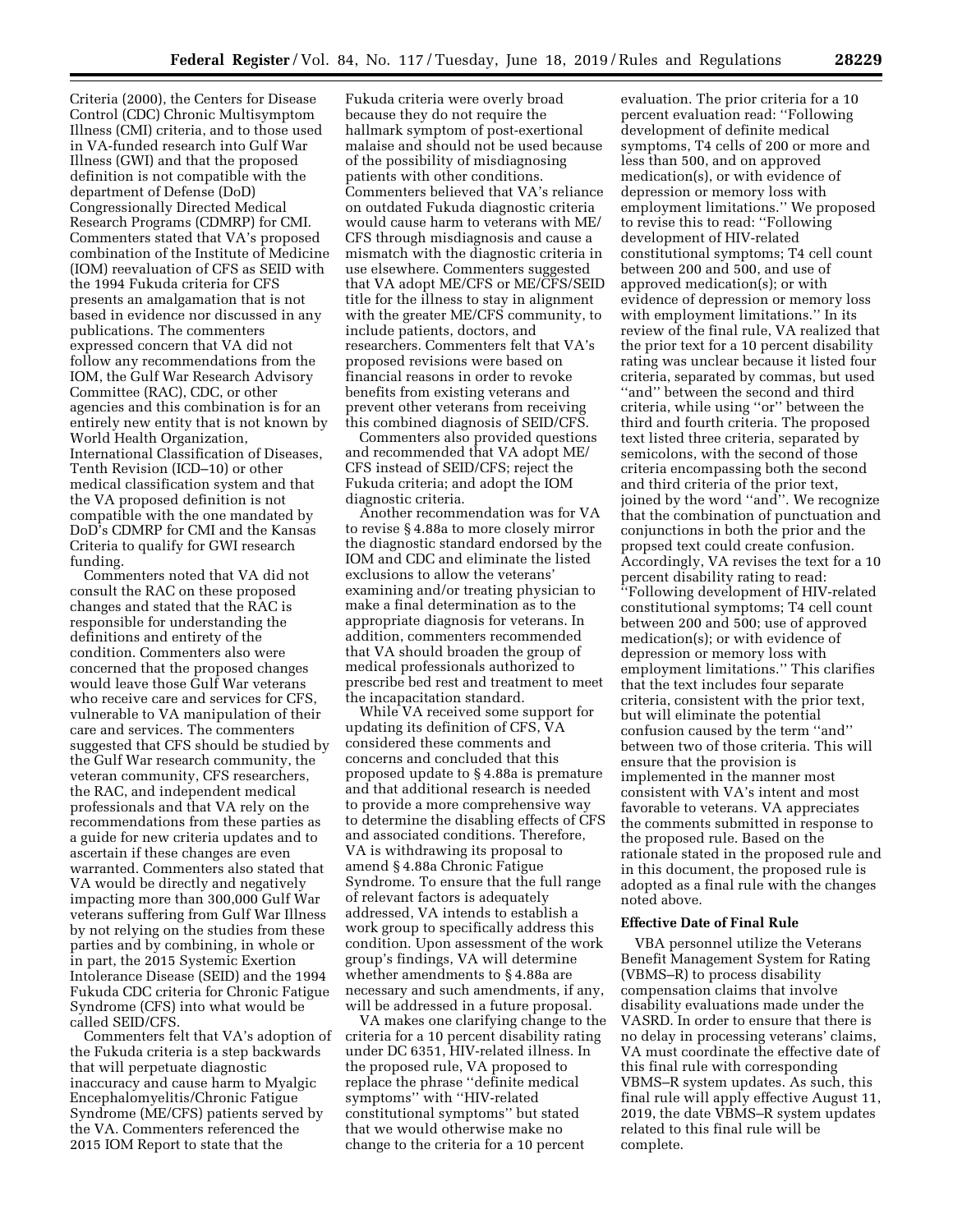Criteria (2000), the Centers for Disease Control (CDC) Chronic Multisymptom Illness (CMI) criteria, and to those used in VA-funded research into Gulf War Illness (GWI) and that the proposed definition is not compatible with the department of Defense (DoD) Congressionally Directed Medical Research Programs (CDMRP) for CMI. Commenters stated that VA's proposed combination of the Institute of Medicine (IOM) reevaluation of CFS as SEID with the 1994 Fukuda criteria for CFS presents an amalgamation that is not based in evidence nor discussed in any publications. The commenters expressed concern that VA did not follow any recommendations from the IOM, the Gulf War Research Advisory Committee (RAC), CDC, or other agencies and this combination is for an entirely new entity that is not known by World Health Organization, International Classification of Diseases, Tenth Revision (ICD–10) or other medical classification system and that the VA proposed definition is not compatible with the one mandated by DoD's CDMRP for CMI and the Kansas Criteria to qualify for GWI research funding.

Commenters noted that VA did not consult the RAC on these proposed changes and stated that the RAC is responsible for understanding the definitions and entirety of the condition. Commenters also were concerned that the proposed changes would leave those Gulf War veterans who receive care and services for CFS, vulnerable to VA manipulation of their care and services. The commenters suggested that CFS should be studied by the Gulf War research community, the veteran community, CFS researchers, the RAC, and independent medical professionals and that VA rely on the recommendations from these parties as a guide for new criteria updates and to ascertain if these changes are even warranted. Commenters also stated that VA would be directly and negatively impacting more than 300,000 Gulf War veterans suffering from Gulf War Illness by not relying on the studies from these parties and by combining, in whole or in part, the 2015 Systemic Exertion Intolerance Disease (SEID) and the 1994 Fukuda CDC criteria for Chronic Fatigue Syndrome (CFS) into what would be called SEID/CFS.

Commenters felt that VA's adoption of the Fukuda criteria is a step backwards that will perpetuate diagnostic inaccuracy and cause harm to Myalgic Encephalomyelitis/Chronic Fatigue Syndrome (ME/CFS) patients served by the VA. Commenters referenced the 2015 IOM Report to state that the

Fukuda criteria were overly broad because they do not require the hallmark symptom of post-exertional malaise and should not be used because of the possibility of misdiagnosing patients with other conditions. Commenters believed that VA's reliance on outdated Fukuda diagnostic criteria would cause harm to veterans with ME/ CFS through misdiagnosis and cause a mismatch with the diagnostic criteria in use elsewhere. Commenters suggested that VA adopt ME/CFS or ME/CFS/SEID title for the illness to stay in alignment with the greater ME/CFS community, to include patients, doctors, and researchers. Commenters felt that VA's proposed revisions were based on financial reasons in order to revoke benefits from existing veterans and prevent other veterans from receiving this combined diagnosis of SEID/CFS.

Commenters also provided questions and recommended that VA adopt ME/ CFS instead of SEID/CFS; reject the Fukuda criteria; and adopt the IOM diagnostic criteria.

Another recommendation was for VA to revise § 4.88a to more closely mirror the diagnostic standard endorsed by the IOM and CDC and eliminate the listed exclusions to allow the veterans' examining and/or treating physician to make a final determination as to the appropriate diagnosis for veterans. In addition, commenters recommended that VA should broaden the group of medical professionals authorized to prescribe bed rest and treatment to meet the incapacitation standard.

While VA received some support for updating its definition of CFS, VA considered these comments and concerns and concluded that this proposed update to § 4.88a is premature and that additional research is needed to provide a more comprehensive way to determine the disabling effects of CFS and associated conditions. Therefore, VA is withdrawing its proposal to amend § 4.88a Chronic Fatigue Syndrome. To ensure that the full range of relevant factors is adequately addressed, VA intends to establish a work group to specifically address this condition. Upon assessment of the work group's findings, VA will determine whether amendments to § 4.88a are necessary and such amendments, if any, will be addressed in a future proposal.

VA makes one clarifying change to the criteria for a 10 percent disability rating under DC 6351, HIV-related illness. In the proposed rule, VA proposed to replace the phrase ''definite medical symptoms'' with ''HIV-related constitutional symptoms'' but stated that we would otherwise make no change to the criteria for a 10 percent

evaluation. The prior criteria for a 10 percent evaluation read: ''Following development of definite medical symptoms, T4 cells of 200 or more and less than 500, and on approved medication(s), or with evidence of depression or memory loss with employment limitations.'' We proposed to revise this to read: ''Following development of HIV-related constitutional symptoms; T4 cell count between 200 and 500, and use of approved medication(s); or with evidence of depression or memory loss with employment limitations.'' In its review of the final rule, VA realized that the prior text for a 10 percent disability rating was unclear because it listed four criteria, separated by commas, but used "and" between the second and third criteria, while using ''or'' between the third and fourth criteria. The proposed text listed three criteria, separated by semicolons, with the second of those criteria encompassing both the second and third criteria of the prior text, joined by the word ''and''. We recognize that the combination of punctuation and conjunctions in both the prior and the propsed text could create confusion. Accordingly, VA revises the text for a 10 percent disability rating to read: ''Following development of HIV-related constitutional symptoms; T4 cell count between 200 and 500; use of approved medication(s); or with evidence of depression or memory loss with employment limitations.'' This clarifies that the text includes four separate criteria, consistent with the prior text, but will eliminate the potential confusion caused by the term ''and'' between two of those criteria. This will ensure that the provision is implemented in the manner most consistent with VA's intent and most favorable to veterans. VA appreciates the comments submitted in response to the proposed rule. Based on the rationale stated in the proposed rule and in this document, the proposed rule is adopted as a final rule with the changes noted above.

#### **Effective Date of Final Rule**

VBA personnel utilize the Veterans Benefit Management System for Rating (VBMS–R) to process disability compensation claims that involve disability evaluations made under the VASRD. In order to ensure that there is no delay in processing veterans' claims, VA must coordinate the effective date of this final rule with corresponding VBMS–R system updates. As such, this final rule will apply effective August 11, 2019, the date VBMS–R system updates related to this final rule will be complete.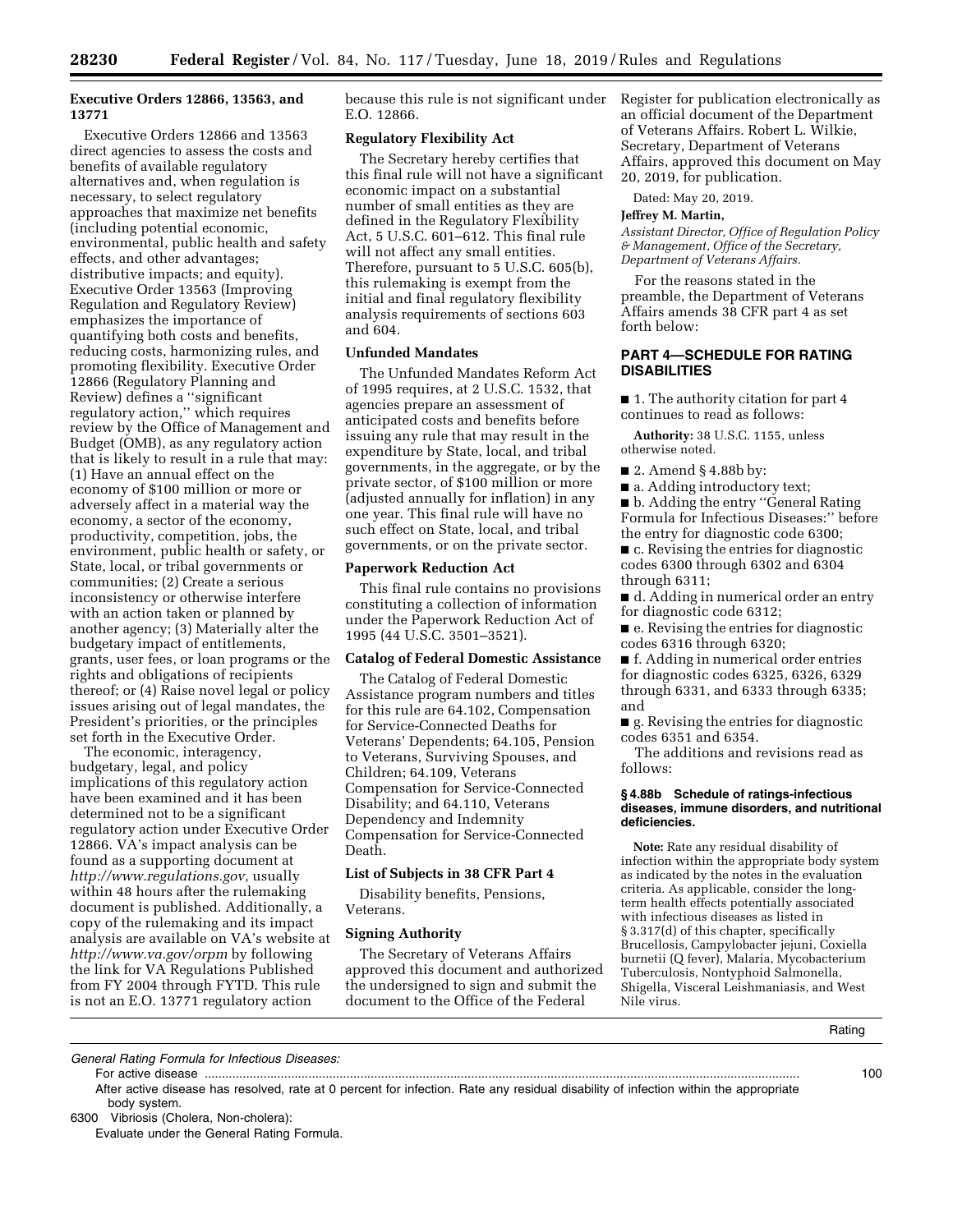# **Executive Orders 12866, 13563, and 13771**

Executive Orders 12866 and 13563 direct agencies to assess the costs and benefits of available regulatory alternatives and, when regulation is necessary, to select regulatory approaches that maximize net benefits (including potential economic, environmental, public health and safety effects, and other advantages; distributive impacts; and equity). Executive Order 13563 (Improving Regulation and Regulatory Review) emphasizes the importance of quantifying both costs and benefits, reducing costs, harmonizing rules, and promoting flexibility. Executive Order 12866 (Regulatory Planning and Review) defines a ''significant regulatory action,'' which requires review by the Office of Management and Budget (OMB), as any regulatory action that is likely to result in a rule that may: (1) Have an annual effect on the economy of \$100 million or more or adversely affect in a material way the economy, a sector of the economy, productivity, competition, jobs, the environment, public health or safety, or State, local, or tribal governments or communities; (2) Create a serious inconsistency or otherwise interfere with an action taken or planned by another agency; (3) Materially alter the budgetary impact of entitlements, grants, user fees, or loan programs or the rights and obligations of recipients thereof; or (4) Raise novel legal or policy issues arising out of legal mandates, the President's priorities, or the principles set forth in the Executive Order.

The economic, interagency, budgetary, legal, and policy implications of this regulatory action have been examined and it has been determined not to be a significant regulatory action under Executive Order 12866. VA's impact analysis can be found as a supporting document at *http://www.regulations.gov,* usually within 48 hours after the rulemaking document is published. Additionally, a copy of the rulemaking and its impact analysis are available on VA's website at *http://www.va.gov/orpm* by following the link for VA Regulations Published from FY 2004 through FYTD. This rule is not an E.O. 13771 regulatory action

because this rule is not significant under E.O. 12866.

#### **Regulatory Flexibility Act**

The Secretary hereby certifies that this final rule will not have a significant economic impact on a substantial number of small entities as they are defined in the Regulatory Flexibility Act, 5 U.S.C. 601–612. This final rule will not affect any small entities. Therefore, pursuant to 5 U.S.C. 605(b), this rulemaking is exempt from the initial and final regulatory flexibility analysis requirements of sections 603 and 604.

#### **Unfunded Mandates**

The Unfunded Mandates Reform Act of 1995 requires, at 2 U.S.C. 1532, that agencies prepare an assessment of anticipated costs and benefits before issuing any rule that may result in the expenditure by State, local, and tribal governments, in the aggregate, or by the private sector, of \$100 million or more (adjusted annually for inflation) in any one year. This final rule will have no such effect on State, local, and tribal governments, or on the private sector.

#### **Paperwork Reduction Act**

This final rule contains no provisions constituting a collection of information under the Paperwork Reduction Act of 1995 (44 U.S.C. 3501–3521).

#### **Catalog of Federal Domestic Assistance**

The Catalog of Federal Domestic Assistance program numbers and titles for this rule are 64.102, Compensation for Service-Connected Deaths for Veterans' Dependents; 64.105, Pension to Veterans, Surviving Spouses, and Children; 64.109, Veterans Compensation for Service-Connected Disability; and 64.110, Veterans Dependency and Indemnity Compensation for Service-Connected Death.

### **List of Subjects in 38 CFR Part 4**

Disability benefits, Pensions, Veterans.

# **Signing Authority**

The Secretary of Veterans Affairs approved this document and authorized the undersigned to sign and submit the document to the Office of the Federal

Register for publication electronically as an official document of the Department of Veterans Affairs. Robert L. Wilkie, Secretary, Department of Veterans Affairs, approved this document on May 20, 2019, for publication.

Dated: May 20, 2019.

#### **Jeffrey M. Martin,**

*Assistant Director, Office of Regulation Policy & Management, Office of the Secretary, Department of Veterans Affairs.* 

For the reasons stated in the preamble, the Department of Veterans Affairs amends 38 CFR part 4 as set forth below:

# **PART 4—SCHEDULE FOR RATING DISABILITIES**

■ 1. The authority citation for part 4 continues to read as follows:

**Authority:** 38 U.S.C. 1155, unless otherwise noted.

- 2. Amend § 4.88b by:
- a. Adding introductory text;

■ b. Adding the entry "General Rating Formula for Infectious Diseases:'' before the entry for diagnostic code 6300;

■ c. Revising the entries for diagnostic codes 6300 through 6302 and 6304 through 6311;

■ d. Adding in numerical order an entry for diagnostic code 6312;

■ e. Revising the entries for diagnostic codes 6316 through 6320;

■ f. Adding in numerical order entries for diagnostic codes 6325, 6326, 6329 through 6331, and 6333 through 6335; and

■ g. Revising the entries for diagnostic codes 6351 and 6354.

The additions and revisions read as follows:

#### **§ 4.88b Schedule of ratings-infectious diseases, immune disorders, and nutritional deficiencies.**

**Note:** Rate any residual disability of infection within the appropriate body system as indicated by the notes in the evaluation criteria. As applicable, consider the longterm health effects potentially associated with infectious diseases as listed in § 3.317(d) of this chapter, specifically Brucellosis, Campylobacter jejuni, Coxiella burnetii (Q fever), Malaria, Mycobacterium Tuberculosis, Nontyphoid Salmonella, Shigella, Visceral Leishmaniasis, and West Nile virus.

Rating

*General Rating Formula for Infectious Diseases:* 

For active disease ............................................................................................................................................................................ 100

After active disease has resolved, rate at 0 percent for infection. Rate any residual disability of infection within the appropriate body system.

6300 Vibriosis (Cholera, Non-cholera):

Evaluate under the General Rating Formula.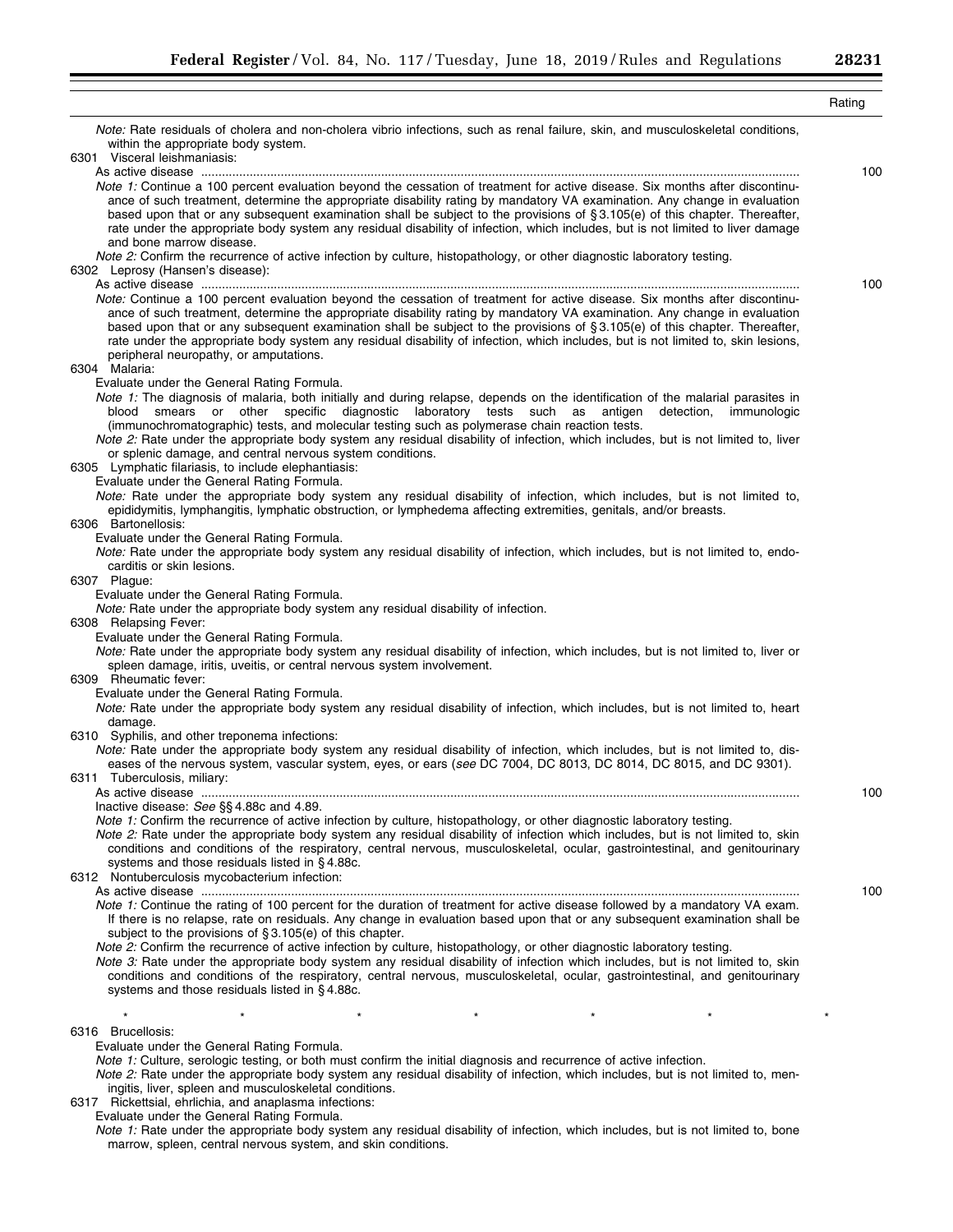| Note: Rate residuals of cholera and non-cholera vibrio infections, such as renal failure, skin, and musculoskeletal conditions,<br>within the appropriate body system.<br>6301 Visceral leishmaniasis:<br>100<br>Note 1: Continue a 100 percent evaluation beyond the cessation of treatment for active disease. Six months after discontinu-<br>ance of such treatment, determine the appropriate disability rating by mandatory VA examination. Any change in evaluation<br>based upon that or any subsequent examination shall be subject to the provisions of §3.105(e) of this chapter. Thereafter,<br>rate under the appropriate body system any residual disability of infection, which includes, but is not limited to liver damage<br>and bone marrow disease.<br>Note 2: Confirm the recurrence of active infection by culture, histopathology, or other diagnostic laboratory testing.<br>6302 Leprosy (Hansen's disease):<br>100<br>Note: Continue a 100 percent evaluation beyond the cessation of treatment for active disease. Six months after discontinu-<br>ance of such treatment, determine the appropriate disability rating by mandatory VA examination. Any change in evaluation<br>based upon that or any subsequent examination shall be subject to the provisions of §3.105(e) of this chapter. Thereafter,<br>rate under the appropriate body system any residual disability of infection, which includes, but is not limited to, skin lesions,<br>peripheral neuropathy, or amputations.<br>6304 Malaria:<br>Evaluate under the General Rating Formula.<br>Note 1: The diagnosis of malaria, both initially and during relapse, depends on the identification of the malarial parasites in<br>smears or other specific diagnostic laboratory tests such as antigen<br>detection,<br>immunologic<br>blood<br>(immunochromatographic) tests, and molecular testing such as polymerase chain reaction tests.<br>Note 2: Rate under the appropriate body system any residual disability of infection, which includes, but is not limited to, liver<br>or splenic damage, and central nervous system conditions.<br>6305 Lymphatic filariasis, to include elephantiasis:<br>Evaluate under the General Rating Formula.<br>Note: Rate under the appropriate body system any residual disability of infection, which includes, but is not limited to,<br>epididymitis, lymphangitis, lymphatic obstruction, or lymphedema affecting extremities, genitals, and/or breasts.<br>6306 Bartonellosis:<br>Evaluate under the General Rating Formula.<br>Note: Rate under the appropriate body system any residual disability of infection, which includes, but is not limited to, endo-<br>carditis or skin lesions.<br>6307 Plague:<br>Evaluate under the General Rating Formula.<br>Note: Rate under the appropriate body system any residual disability of infection.<br>6308 Relapsing Fever:<br>Evaluate under the General Rating Formula.<br>Note: Rate under the appropriate body system any residual disability of infection, which includes, but is not limited to, liver or<br>spleen damage, iritis, uveitis, or central nervous system involvement.<br>6309 Rheumatic fever:<br>Evaluate under the General Rating Formula.<br>Note: Rate under the appropriate body system any residual disability of infection, which includes, but is not limited to, heart<br>damage.<br>6310 Syphilis, and other treponema infections:<br>Note: Rate under the appropriate body system any residual disability of infection, which includes, but is not limited to, dis-<br>eases of the nervous system, vascular system, eyes, or ears (see DC 7004, DC 8013, DC 8014, DC 8015, and DC 9301).<br>6311 Tuberculosis, miliary:<br>100<br>Inactive disease: See §§4.88c and 4.89.<br>Note 1: Confirm the recurrence of active infection by culture, histopathology, or other diagnostic laboratory testing.<br>Note 2: Rate under the appropriate body system any residual disability of infection which includes, but is not limited to, skin<br>conditions and conditions of the respiratory, central nervous, musculoskeletal, ocular, gastrointestinal, and genitourinary<br>systems and those residuals listed in §4.88c.<br>6312 Nontuberculosis mycobacterium infection:<br>100<br>Note 1: Continue the rating of 100 percent for the duration of treatment for active disease followed by a mandatory VA exam.<br>If there is no relapse, rate on residuals. Any change in evaluation based upon that or any subsequent examination shall be<br>subject to the provisions of $\S 3.105(e)$ of this chapter.<br>Note 2: Confirm the recurrence of active infection by culture, histopathology, or other diagnostic laboratory testing.<br>Note 3: Rate under the appropriate body system any residual disability of infection which includes, but is not limited to, skin<br>conditions and conditions of the respiratory, central nervous, musculoskeletal, ocular, gastrointestinal, and genitourinary<br>systems and those residuals listed in §4.88c.<br>$\star$<br>6316 Brucellosis:<br>Evaluate under the General Rating Formula.<br>Note 1: Culture, serologic testing, or both must confirm the initial diagnosis and recurrence of active infection.<br>Note 2: Rate under the appropriate body system any residual disability of infection, which includes, but is not limited to, men-<br>ingitis, liver, spleen and musculoskeletal conditions.<br>6317 Rickettsial, ehrlichia, and anaplasma infections:<br>Evaluate under the General Rating Formula. |                                                                                                                                  | Rating |
|------------------------------------------------------------------------------------------------------------------------------------------------------------------------------------------------------------------------------------------------------------------------------------------------------------------------------------------------------------------------------------------------------------------------------------------------------------------------------------------------------------------------------------------------------------------------------------------------------------------------------------------------------------------------------------------------------------------------------------------------------------------------------------------------------------------------------------------------------------------------------------------------------------------------------------------------------------------------------------------------------------------------------------------------------------------------------------------------------------------------------------------------------------------------------------------------------------------------------------------------------------------------------------------------------------------------------------------------------------------------------------------------------------------------------------------------------------------------------------------------------------------------------------------------------------------------------------------------------------------------------------------------------------------------------------------------------------------------------------------------------------------------------------------------------------------------------------------------------------------------------------------------------------------------------------------------------------------------------------------------------------------------------------------------------------------------------------------------------------------------------------------------------------------------------------------------------------------------------------------------------------------------------------------------------------------------------------------------------------------------------------------------------------------------------------------------------------------------------------------------------------------------------------------------------------------------------------------------------------------------------------------------------------------------------------------------------------------------------------------------------------------------------------------------------------------------------------------------------------------------------------------------------------------------------------------------------------------------------------------------------------------------------------------------------------------------------------------------------------------------------------------------------------------------------------------------------------------------------------------------------------------------------------------------------------------------------------------------------------------------------------------------------------------------------------------------------------------------------------------------------------------------------------------------------------------------------------------------------------------------------------------------------------------------------------------------------------------------------------------------------------------------------------------------------------------------------------------------------------------------------------------------------------------------------------------------------------------------------------------------------------------------------------------------------------------------------------------------------------------------------------------------------------------------------------------------------------------------------------------------------------------------------------------------------------------------------------------------------------------------------------------------------------------------------------------------------------------------------------------------------------------------------------------------------------------------------------------------------------------------------------------------------------------------------------------------------------------------------------------------------------------------------------------------------------------------------------------------------------------------------------------------------------------------------------------------------------------------------------------------------------------------------------------------------------------------------------------------------------------------------------------------------------------------------------------------------------------------------------------------------------------------------------------------------------------------------------------------------------------------------------------------------------------------------------------------------------------------------------------------------------------------------------------------------------------------------------------|----------------------------------------------------------------------------------------------------------------------------------|--------|
|                                                                                                                                                                                                                                                                                                                                                                                                                                                                                                                                                                                                                                                                                                                                                                                                                                                                                                                                                                                                                                                                                                                                                                                                                                                                                                                                                                                                                                                                                                                                                                                                                                                                                                                                                                                                                                                                                                                                                                                                                                                                                                                                                                                                                                                                                                                                                                                                                                                                                                                                                                                                                                                                                                                                                                                                                                                                                                                                                                                                                                                                                                                                                                                                                                                                                                                                                                                                                                                                                                                                                                                                                                                                                                                                                                                                                                                                                                                                                                                                                                                                                                                                                                                                                                                                                                                                                                                                                                                                                                                                                                                                                                                                                                                                                                                                                                                                                                                                                                                                                                                                                                                                                                                                                                                                                                                                                                                                                                                                                                                                                                                          |                                                                                                                                  |        |
|                                                                                                                                                                                                                                                                                                                                                                                                                                                                                                                                                                                                                                                                                                                                                                                                                                                                                                                                                                                                                                                                                                                                                                                                                                                                                                                                                                                                                                                                                                                                                                                                                                                                                                                                                                                                                                                                                                                                                                                                                                                                                                                                                                                                                                                                                                                                                                                                                                                                                                                                                                                                                                                                                                                                                                                                                                                                                                                                                                                                                                                                                                                                                                                                                                                                                                                                                                                                                                                                                                                                                                                                                                                                                                                                                                                                                                                                                                                                                                                                                                                                                                                                                                                                                                                                                                                                                                                                                                                                                                                                                                                                                                                                                                                                                                                                                                                                                                                                                                                                                                                                                                                                                                                                                                                                                                                                                                                                                                                                                                                                                                                          |                                                                                                                                  |        |
|                                                                                                                                                                                                                                                                                                                                                                                                                                                                                                                                                                                                                                                                                                                                                                                                                                                                                                                                                                                                                                                                                                                                                                                                                                                                                                                                                                                                                                                                                                                                                                                                                                                                                                                                                                                                                                                                                                                                                                                                                                                                                                                                                                                                                                                                                                                                                                                                                                                                                                                                                                                                                                                                                                                                                                                                                                                                                                                                                                                                                                                                                                                                                                                                                                                                                                                                                                                                                                                                                                                                                                                                                                                                                                                                                                                                                                                                                                                                                                                                                                                                                                                                                                                                                                                                                                                                                                                                                                                                                                                                                                                                                                                                                                                                                                                                                                                                                                                                                                                                                                                                                                                                                                                                                                                                                                                                                                                                                                                                                                                                                                                          |                                                                                                                                  |        |
|                                                                                                                                                                                                                                                                                                                                                                                                                                                                                                                                                                                                                                                                                                                                                                                                                                                                                                                                                                                                                                                                                                                                                                                                                                                                                                                                                                                                                                                                                                                                                                                                                                                                                                                                                                                                                                                                                                                                                                                                                                                                                                                                                                                                                                                                                                                                                                                                                                                                                                                                                                                                                                                                                                                                                                                                                                                                                                                                                                                                                                                                                                                                                                                                                                                                                                                                                                                                                                                                                                                                                                                                                                                                                                                                                                                                                                                                                                                                                                                                                                                                                                                                                                                                                                                                                                                                                                                                                                                                                                                                                                                                                                                                                                                                                                                                                                                                                                                                                                                                                                                                                                                                                                                                                                                                                                                                                                                                                                                                                                                                                                                          |                                                                                                                                  |        |
|                                                                                                                                                                                                                                                                                                                                                                                                                                                                                                                                                                                                                                                                                                                                                                                                                                                                                                                                                                                                                                                                                                                                                                                                                                                                                                                                                                                                                                                                                                                                                                                                                                                                                                                                                                                                                                                                                                                                                                                                                                                                                                                                                                                                                                                                                                                                                                                                                                                                                                                                                                                                                                                                                                                                                                                                                                                                                                                                                                                                                                                                                                                                                                                                                                                                                                                                                                                                                                                                                                                                                                                                                                                                                                                                                                                                                                                                                                                                                                                                                                                                                                                                                                                                                                                                                                                                                                                                                                                                                                                                                                                                                                                                                                                                                                                                                                                                                                                                                                                                                                                                                                                                                                                                                                                                                                                                                                                                                                                                                                                                                                                          |                                                                                                                                  |        |
|                                                                                                                                                                                                                                                                                                                                                                                                                                                                                                                                                                                                                                                                                                                                                                                                                                                                                                                                                                                                                                                                                                                                                                                                                                                                                                                                                                                                                                                                                                                                                                                                                                                                                                                                                                                                                                                                                                                                                                                                                                                                                                                                                                                                                                                                                                                                                                                                                                                                                                                                                                                                                                                                                                                                                                                                                                                                                                                                                                                                                                                                                                                                                                                                                                                                                                                                                                                                                                                                                                                                                                                                                                                                                                                                                                                                                                                                                                                                                                                                                                                                                                                                                                                                                                                                                                                                                                                                                                                                                                                                                                                                                                                                                                                                                                                                                                                                                                                                                                                                                                                                                                                                                                                                                                                                                                                                                                                                                                                                                                                                                                                          |                                                                                                                                  |        |
|                                                                                                                                                                                                                                                                                                                                                                                                                                                                                                                                                                                                                                                                                                                                                                                                                                                                                                                                                                                                                                                                                                                                                                                                                                                                                                                                                                                                                                                                                                                                                                                                                                                                                                                                                                                                                                                                                                                                                                                                                                                                                                                                                                                                                                                                                                                                                                                                                                                                                                                                                                                                                                                                                                                                                                                                                                                                                                                                                                                                                                                                                                                                                                                                                                                                                                                                                                                                                                                                                                                                                                                                                                                                                                                                                                                                                                                                                                                                                                                                                                                                                                                                                                                                                                                                                                                                                                                                                                                                                                                                                                                                                                                                                                                                                                                                                                                                                                                                                                                                                                                                                                                                                                                                                                                                                                                                                                                                                                                                                                                                                                                          |                                                                                                                                  |        |
|                                                                                                                                                                                                                                                                                                                                                                                                                                                                                                                                                                                                                                                                                                                                                                                                                                                                                                                                                                                                                                                                                                                                                                                                                                                                                                                                                                                                                                                                                                                                                                                                                                                                                                                                                                                                                                                                                                                                                                                                                                                                                                                                                                                                                                                                                                                                                                                                                                                                                                                                                                                                                                                                                                                                                                                                                                                                                                                                                                                                                                                                                                                                                                                                                                                                                                                                                                                                                                                                                                                                                                                                                                                                                                                                                                                                                                                                                                                                                                                                                                                                                                                                                                                                                                                                                                                                                                                                                                                                                                                                                                                                                                                                                                                                                                                                                                                                                                                                                                                                                                                                                                                                                                                                                                                                                                                                                                                                                                                                                                                                                                                          |                                                                                                                                  |        |
|                                                                                                                                                                                                                                                                                                                                                                                                                                                                                                                                                                                                                                                                                                                                                                                                                                                                                                                                                                                                                                                                                                                                                                                                                                                                                                                                                                                                                                                                                                                                                                                                                                                                                                                                                                                                                                                                                                                                                                                                                                                                                                                                                                                                                                                                                                                                                                                                                                                                                                                                                                                                                                                                                                                                                                                                                                                                                                                                                                                                                                                                                                                                                                                                                                                                                                                                                                                                                                                                                                                                                                                                                                                                                                                                                                                                                                                                                                                                                                                                                                                                                                                                                                                                                                                                                                                                                                                                                                                                                                                                                                                                                                                                                                                                                                                                                                                                                                                                                                                                                                                                                                                                                                                                                                                                                                                                                                                                                                                                                                                                                                                          |                                                                                                                                  |        |
|                                                                                                                                                                                                                                                                                                                                                                                                                                                                                                                                                                                                                                                                                                                                                                                                                                                                                                                                                                                                                                                                                                                                                                                                                                                                                                                                                                                                                                                                                                                                                                                                                                                                                                                                                                                                                                                                                                                                                                                                                                                                                                                                                                                                                                                                                                                                                                                                                                                                                                                                                                                                                                                                                                                                                                                                                                                                                                                                                                                                                                                                                                                                                                                                                                                                                                                                                                                                                                                                                                                                                                                                                                                                                                                                                                                                                                                                                                                                                                                                                                                                                                                                                                                                                                                                                                                                                                                                                                                                                                                                                                                                                                                                                                                                                                                                                                                                                                                                                                                                                                                                                                                                                                                                                                                                                                                                                                                                                                                                                                                                                                                          |                                                                                                                                  |        |
|                                                                                                                                                                                                                                                                                                                                                                                                                                                                                                                                                                                                                                                                                                                                                                                                                                                                                                                                                                                                                                                                                                                                                                                                                                                                                                                                                                                                                                                                                                                                                                                                                                                                                                                                                                                                                                                                                                                                                                                                                                                                                                                                                                                                                                                                                                                                                                                                                                                                                                                                                                                                                                                                                                                                                                                                                                                                                                                                                                                                                                                                                                                                                                                                                                                                                                                                                                                                                                                                                                                                                                                                                                                                                                                                                                                                                                                                                                                                                                                                                                                                                                                                                                                                                                                                                                                                                                                                                                                                                                                                                                                                                                                                                                                                                                                                                                                                                                                                                                                                                                                                                                                                                                                                                                                                                                                                                                                                                                                                                                                                                                                          |                                                                                                                                  |        |
|                                                                                                                                                                                                                                                                                                                                                                                                                                                                                                                                                                                                                                                                                                                                                                                                                                                                                                                                                                                                                                                                                                                                                                                                                                                                                                                                                                                                                                                                                                                                                                                                                                                                                                                                                                                                                                                                                                                                                                                                                                                                                                                                                                                                                                                                                                                                                                                                                                                                                                                                                                                                                                                                                                                                                                                                                                                                                                                                                                                                                                                                                                                                                                                                                                                                                                                                                                                                                                                                                                                                                                                                                                                                                                                                                                                                                                                                                                                                                                                                                                                                                                                                                                                                                                                                                                                                                                                                                                                                                                                                                                                                                                                                                                                                                                                                                                                                                                                                                                                                                                                                                                                                                                                                                                                                                                                                                                                                                                                                                                                                                                                          |                                                                                                                                  |        |
|                                                                                                                                                                                                                                                                                                                                                                                                                                                                                                                                                                                                                                                                                                                                                                                                                                                                                                                                                                                                                                                                                                                                                                                                                                                                                                                                                                                                                                                                                                                                                                                                                                                                                                                                                                                                                                                                                                                                                                                                                                                                                                                                                                                                                                                                                                                                                                                                                                                                                                                                                                                                                                                                                                                                                                                                                                                                                                                                                                                                                                                                                                                                                                                                                                                                                                                                                                                                                                                                                                                                                                                                                                                                                                                                                                                                                                                                                                                                                                                                                                                                                                                                                                                                                                                                                                                                                                                                                                                                                                                                                                                                                                                                                                                                                                                                                                                                                                                                                                                                                                                                                                                                                                                                                                                                                                                                                                                                                                                                                                                                                                                          |                                                                                                                                  |        |
|                                                                                                                                                                                                                                                                                                                                                                                                                                                                                                                                                                                                                                                                                                                                                                                                                                                                                                                                                                                                                                                                                                                                                                                                                                                                                                                                                                                                                                                                                                                                                                                                                                                                                                                                                                                                                                                                                                                                                                                                                                                                                                                                                                                                                                                                                                                                                                                                                                                                                                                                                                                                                                                                                                                                                                                                                                                                                                                                                                                                                                                                                                                                                                                                                                                                                                                                                                                                                                                                                                                                                                                                                                                                                                                                                                                                                                                                                                                                                                                                                                                                                                                                                                                                                                                                                                                                                                                                                                                                                                                                                                                                                                                                                                                                                                                                                                                                                                                                                                                                                                                                                                                                                                                                                                                                                                                                                                                                                                                                                                                                                                                          |                                                                                                                                  |        |
|                                                                                                                                                                                                                                                                                                                                                                                                                                                                                                                                                                                                                                                                                                                                                                                                                                                                                                                                                                                                                                                                                                                                                                                                                                                                                                                                                                                                                                                                                                                                                                                                                                                                                                                                                                                                                                                                                                                                                                                                                                                                                                                                                                                                                                                                                                                                                                                                                                                                                                                                                                                                                                                                                                                                                                                                                                                                                                                                                                                                                                                                                                                                                                                                                                                                                                                                                                                                                                                                                                                                                                                                                                                                                                                                                                                                                                                                                                                                                                                                                                                                                                                                                                                                                                                                                                                                                                                                                                                                                                                                                                                                                                                                                                                                                                                                                                                                                                                                                                                                                                                                                                                                                                                                                                                                                                                                                                                                                                                                                                                                                                                          |                                                                                                                                  |        |
|                                                                                                                                                                                                                                                                                                                                                                                                                                                                                                                                                                                                                                                                                                                                                                                                                                                                                                                                                                                                                                                                                                                                                                                                                                                                                                                                                                                                                                                                                                                                                                                                                                                                                                                                                                                                                                                                                                                                                                                                                                                                                                                                                                                                                                                                                                                                                                                                                                                                                                                                                                                                                                                                                                                                                                                                                                                                                                                                                                                                                                                                                                                                                                                                                                                                                                                                                                                                                                                                                                                                                                                                                                                                                                                                                                                                                                                                                                                                                                                                                                                                                                                                                                                                                                                                                                                                                                                                                                                                                                                                                                                                                                                                                                                                                                                                                                                                                                                                                                                                                                                                                                                                                                                                                                                                                                                                                                                                                                                                                                                                                                                          |                                                                                                                                  |        |
|                                                                                                                                                                                                                                                                                                                                                                                                                                                                                                                                                                                                                                                                                                                                                                                                                                                                                                                                                                                                                                                                                                                                                                                                                                                                                                                                                                                                                                                                                                                                                                                                                                                                                                                                                                                                                                                                                                                                                                                                                                                                                                                                                                                                                                                                                                                                                                                                                                                                                                                                                                                                                                                                                                                                                                                                                                                                                                                                                                                                                                                                                                                                                                                                                                                                                                                                                                                                                                                                                                                                                                                                                                                                                                                                                                                                                                                                                                                                                                                                                                                                                                                                                                                                                                                                                                                                                                                                                                                                                                                                                                                                                                                                                                                                                                                                                                                                                                                                                                                                                                                                                                                                                                                                                                                                                                                                                                                                                                                                                                                                                                                          |                                                                                                                                  |        |
|                                                                                                                                                                                                                                                                                                                                                                                                                                                                                                                                                                                                                                                                                                                                                                                                                                                                                                                                                                                                                                                                                                                                                                                                                                                                                                                                                                                                                                                                                                                                                                                                                                                                                                                                                                                                                                                                                                                                                                                                                                                                                                                                                                                                                                                                                                                                                                                                                                                                                                                                                                                                                                                                                                                                                                                                                                                                                                                                                                                                                                                                                                                                                                                                                                                                                                                                                                                                                                                                                                                                                                                                                                                                                                                                                                                                                                                                                                                                                                                                                                                                                                                                                                                                                                                                                                                                                                                                                                                                                                                                                                                                                                                                                                                                                                                                                                                                                                                                                                                                                                                                                                                                                                                                                                                                                                                                                                                                                                                                                                                                                                                          |                                                                                                                                  |        |
|                                                                                                                                                                                                                                                                                                                                                                                                                                                                                                                                                                                                                                                                                                                                                                                                                                                                                                                                                                                                                                                                                                                                                                                                                                                                                                                                                                                                                                                                                                                                                                                                                                                                                                                                                                                                                                                                                                                                                                                                                                                                                                                                                                                                                                                                                                                                                                                                                                                                                                                                                                                                                                                                                                                                                                                                                                                                                                                                                                                                                                                                                                                                                                                                                                                                                                                                                                                                                                                                                                                                                                                                                                                                                                                                                                                                                                                                                                                                                                                                                                                                                                                                                                                                                                                                                                                                                                                                                                                                                                                                                                                                                                                                                                                                                                                                                                                                                                                                                                                                                                                                                                                                                                                                                                                                                                                                                                                                                                                                                                                                                                                          |                                                                                                                                  |        |
|                                                                                                                                                                                                                                                                                                                                                                                                                                                                                                                                                                                                                                                                                                                                                                                                                                                                                                                                                                                                                                                                                                                                                                                                                                                                                                                                                                                                                                                                                                                                                                                                                                                                                                                                                                                                                                                                                                                                                                                                                                                                                                                                                                                                                                                                                                                                                                                                                                                                                                                                                                                                                                                                                                                                                                                                                                                                                                                                                                                                                                                                                                                                                                                                                                                                                                                                                                                                                                                                                                                                                                                                                                                                                                                                                                                                                                                                                                                                                                                                                                                                                                                                                                                                                                                                                                                                                                                                                                                                                                                                                                                                                                                                                                                                                                                                                                                                                                                                                                                                                                                                                                                                                                                                                                                                                                                                                                                                                                                                                                                                                                                          |                                                                                                                                  |        |
|                                                                                                                                                                                                                                                                                                                                                                                                                                                                                                                                                                                                                                                                                                                                                                                                                                                                                                                                                                                                                                                                                                                                                                                                                                                                                                                                                                                                                                                                                                                                                                                                                                                                                                                                                                                                                                                                                                                                                                                                                                                                                                                                                                                                                                                                                                                                                                                                                                                                                                                                                                                                                                                                                                                                                                                                                                                                                                                                                                                                                                                                                                                                                                                                                                                                                                                                                                                                                                                                                                                                                                                                                                                                                                                                                                                                                                                                                                                                                                                                                                                                                                                                                                                                                                                                                                                                                                                                                                                                                                                                                                                                                                                                                                                                                                                                                                                                                                                                                                                                                                                                                                                                                                                                                                                                                                                                                                                                                                                                                                                                                                                          |                                                                                                                                  |        |
|                                                                                                                                                                                                                                                                                                                                                                                                                                                                                                                                                                                                                                                                                                                                                                                                                                                                                                                                                                                                                                                                                                                                                                                                                                                                                                                                                                                                                                                                                                                                                                                                                                                                                                                                                                                                                                                                                                                                                                                                                                                                                                                                                                                                                                                                                                                                                                                                                                                                                                                                                                                                                                                                                                                                                                                                                                                                                                                                                                                                                                                                                                                                                                                                                                                                                                                                                                                                                                                                                                                                                                                                                                                                                                                                                                                                                                                                                                                                                                                                                                                                                                                                                                                                                                                                                                                                                                                                                                                                                                                                                                                                                                                                                                                                                                                                                                                                                                                                                                                                                                                                                                                                                                                                                                                                                                                                                                                                                                                                                                                                                                                          |                                                                                                                                  |        |
|                                                                                                                                                                                                                                                                                                                                                                                                                                                                                                                                                                                                                                                                                                                                                                                                                                                                                                                                                                                                                                                                                                                                                                                                                                                                                                                                                                                                                                                                                                                                                                                                                                                                                                                                                                                                                                                                                                                                                                                                                                                                                                                                                                                                                                                                                                                                                                                                                                                                                                                                                                                                                                                                                                                                                                                                                                                                                                                                                                                                                                                                                                                                                                                                                                                                                                                                                                                                                                                                                                                                                                                                                                                                                                                                                                                                                                                                                                                                                                                                                                                                                                                                                                                                                                                                                                                                                                                                                                                                                                                                                                                                                                                                                                                                                                                                                                                                                                                                                                                                                                                                                                                                                                                                                                                                                                                                                                                                                                                                                                                                                                                          |                                                                                                                                  |        |
|                                                                                                                                                                                                                                                                                                                                                                                                                                                                                                                                                                                                                                                                                                                                                                                                                                                                                                                                                                                                                                                                                                                                                                                                                                                                                                                                                                                                                                                                                                                                                                                                                                                                                                                                                                                                                                                                                                                                                                                                                                                                                                                                                                                                                                                                                                                                                                                                                                                                                                                                                                                                                                                                                                                                                                                                                                                                                                                                                                                                                                                                                                                                                                                                                                                                                                                                                                                                                                                                                                                                                                                                                                                                                                                                                                                                                                                                                                                                                                                                                                                                                                                                                                                                                                                                                                                                                                                                                                                                                                                                                                                                                                                                                                                                                                                                                                                                                                                                                                                                                                                                                                                                                                                                                                                                                                                                                                                                                                                                                                                                                                                          |                                                                                                                                  |        |
|                                                                                                                                                                                                                                                                                                                                                                                                                                                                                                                                                                                                                                                                                                                                                                                                                                                                                                                                                                                                                                                                                                                                                                                                                                                                                                                                                                                                                                                                                                                                                                                                                                                                                                                                                                                                                                                                                                                                                                                                                                                                                                                                                                                                                                                                                                                                                                                                                                                                                                                                                                                                                                                                                                                                                                                                                                                                                                                                                                                                                                                                                                                                                                                                                                                                                                                                                                                                                                                                                                                                                                                                                                                                                                                                                                                                                                                                                                                                                                                                                                                                                                                                                                                                                                                                                                                                                                                                                                                                                                                                                                                                                                                                                                                                                                                                                                                                                                                                                                                                                                                                                                                                                                                                                                                                                                                                                                                                                                                                                                                                                                                          |                                                                                                                                  |        |
|                                                                                                                                                                                                                                                                                                                                                                                                                                                                                                                                                                                                                                                                                                                                                                                                                                                                                                                                                                                                                                                                                                                                                                                                                                                                                                                                                                                                                                                                                                                                                                                                                                                                                                                                                                                                                                                                                                                                                                                                                                                                                                                                                                                                                                                                                                                                                                                                                                                                                                                                                                                                                                                                                                                                                                                                                                                                                                                                                                                                                                                                                                                                                                                                                                                                                                                                                                                                                                                                                                                                                                                                                                                                                                                                                                                                                                                                                                                                                                                                                                                                                                                                                                                                                                                                                                                                                                                                                                                                                                                                                                                                                                                                                                                                                                                                                                                                                                                                                                                                                                                                                                                                                                                                                                                                                                                                                                                                                                                                                                                                                                                          |                                                                                                                                  |        |
|                                                                                                                                                                                                                                                                                                                                                                                                                                                                                                                                                                                                                                                                                                                                                                                                                                                                                                                                                                                                                                                                                                                                                                                                                                                                                                                                                                                                                                                                                                                                                                                                                                                                                                                                                                                                                                                                                                                                                                                                                                                                                                                                                                                                                                                                                                                                                                                                                                                                                                                                                                                                                                                                                                                                                                                                                                                                                                                                                                                                                                                                                                                                                                                                                                                                                                                                                                                                                                                                                                                                                                                                                                                                                                                                                                                                                                                                                                                                                                                                                                                                                                                                                                                                                                                                                                                                                                                                                                                                                                                                                                                                                                                                                                                                                                                                                                                                                                                                                                                                                                                                                                                                                                                                                                                                                                                                                                                                                                                                                                                                                                                          |                                                                                                                                  |        |
|                                                                                                                                                                                                                                                                                                                                                                                                                                                                                                                                                                                                                                                                                                                                                                                                                                                                                                                                                                                                                                                                                                                                                                                                                                                                                                                                                                                                                                                                                                                                                                                                                                                                                                                                                                                                                                                                                                                                                                                                                                                                                                                                                                                                                                                                                                                                                                                                                                                                                                                                                                                                                                                                                                                                                                                                                                                                                                                                                                                                                                                                                                                                                                                                                                                                                                                                                                                                                                                                                                                                                                                                                                                                                                                                                                                                                                                                                                                                                                                                                                                                                                                                                                                                                                                                                                                                                                                                                                                                                                                                                                                                                                                                                                                                                                                                                                                                                                                                                                                                                                                                                                                                                                                                                                                                                                                                                                                                                                                                                                                                                                                          |                                                                                                                                  |        |
|                                                                                                                                                                                                                                                                                                                                                                                                                                                                                                                                                                                                                                                                                                                                                                                                                                                                                                                                                                                                                                                                                                                                                                                                                                                                                                                                                                                                                                                                                                                                                                                                                                                                                                                                                                                                                                                                                                                                                                                                                                                                                                                                                                                                                                                                                                                                                                                                                                                                                                                                                                                                                                                                                                                                                                                                                                                                                                                                                                                                                                                                                                                                                                                                                                                                                                                                                                                                                                                                                                                                                                                                                                                                                                                                                                                                                                                                                                                                                                                                                                                                                                                                                                                                                                                                                                                                                                                                                                                                                                                                                                                                                                                                                                                                                                                                                                                                                                                                                                                                                                                                                                                                                                                                                                                                                                                                                                                                                                                                                                                                                                                          |                                                                                                                                  |        |
|                                                                                                                                                                                                                                                                                                                                                                                                                                                                                                                                                                                                                                                                                                                                                                                                                                                                                                                                                                                                                                                                                                                                                                                                                                                                                                                                                                                                                                                                                                                                                                                                                                                                                                                                                                                                                                                                                                                                                                                                                                                                                                                                                                                                                                                                                                                                                                                                                                                                                                                                                                                                                                                                                                                                                                                                                                                                                                                                                                                                                                                                                                                                                                                                                                                                                                                                                                                                                                                                                                                                                                                                                                                                                                                                                                                                                                                                                                                                                                                                                                                                                                                                                                                                                                                                                                                                                                                                                                                                                                                                                                                                                                                                                                                                                                                                                                                                                                                                                                                                                                                                                                                                                                                                                                                                                                                                                                                                                                                                                                                                                                                          |                                                                                                                                  |        |
|                                                                                                                                                                                                                                                                                                                                                                                                                                                                                                                                                                                                                                                                                                                                                                                                                                                                                                                                                                                                                                                                                                                                                                                                                                                                                                                                                                                                                                                                                                                                                                                                                                                                                                                                                                                                                                                                                                                                                                                                                                                                                                                                                                                                                                                                                                                                                                                                                                                                                                                                                                                                                                                                                                                                                                                                                                                                                                                                                                                                                                                                                                                                                                                                                                                                                                                                                                                                                                                                                                                                                                                                                                                                                                                                                                                                                                                                                                                                                                                                                                                                                                                                                                                                                                                                                                                                                                                                                                                                                                                                                                                                                                                                                                                                                                                                                                                                                                                                                                                                                                                                                                                                                                                                                                                                                                                                                                                                                                                                                                                                                                                          |                                                                                                                                  |        |
|                                                                                                                                                                                                                                                                                                                                                                                                                                                                                                                                                                                                                                                                                                                                                                                                                                                                                                                                                                                                                                                                                                                                                                                                                                                                                                                                                                                                                                                                                                                                                                                                                                                                                                                                                                                                                                                                                                                                                                                                                                                                                                                                                                                                                                                                                                                                                                                                                                                                                                                                                                                                                                                                                                                                                                                                                                                                                                                                                                                                                                                                                                                                                                                                                                                                                                                                                                                                                                                                                                                                                                                                                                                                                                                                                                                                                                                                                                                                                                                                                                                                                                                                                                                                                                                                                                                                                                                                                                                                                                                                                                                                                                                                                                                                                                                                                                                                                                                                                                                                                                                                                                                                                                                                                                                                                                                                                                                                                                                                                                                                                                                          |                                                                                                                                  |        |
|                                                                                                                                                                                                                                                                                                                                                                                                                                                                                                                                                                                                                                                                                                                                                                                                                                                                                                                                                                                                                                                                                                                                                                                                                                                                                                                                                                                                                                                                                                                                                                                                                                                                                                                                                                                                                                                                                                                                                                                                                                                                                                                                                                                                                                                                                                                                                                                                                                                                                                                                                                                                                                                                                                                                                                                                                                                                                                                                                                                                                                                                                                                                                                                                                                                                                                                                                                                                                                                                                                                                                                                                                                                                                                                                                                                                                                                                                                                                                                                                                                                                                                                                                                                                                                                                                                                                                                                                                                                                                                                                                                                                                                                                                                                                                                                                                                                                                                                                                                                                                                                                                                                                                                                                                                                                                                                                                                                                                                                                                                                                                                                          |                                                                                                                                  |        |
|                                                                                                                                                                                                                                                                                                                                                                                                                                                                                                                                                                                                                                                                                                                                                                                                                                                                                                                                                                                                                                                                                                                                                                                                                                                                                                                                                                                                                                                                                                                                                                                                                                                                                                                                                                                                                                                                                                                                                                                                                                                                                                                                                                                                                                                                                                                                                                                                                                                                                                                                                                                                                                                                                                                                                                                                                                                                                                                                                                                                                                                                                                                                                                                                                                                                                                                                                                                                                                                                                                                                                                                                                                                                                                                                                                                                                                                                                                                                                                                                                                                                                                                                                                                                                                                                                                                                                                                                                                                                                                                                                                                                                                                                                                                                                                                                                                                                                                                                                                                                                                                                                                                                                                                                                                                                                                                                                                                                                                                                                                                                                                                          |                                                                                                                                  |        |
|                                                                                                                                                                                                                                                                                                                                                                                                                                                                                                                                                                                                                                                                                                                                                                                                                                                                                                                                                                                                                                                                                                                                                                                                                                                                                                                                                                                                                                                                                                                                                                                                                                                                                                                                                                                                                                                                                                                                                                                                                                                                                                                                                                                                                                                                                                                                                                                                                                                                                                                                                                                                                                                                                                                                                                                                                                                                                                                                                                                                                                                                                                                                                                                                                                                                                                                                                                                                                                                                                                                                                                                                                                                                                                                                                                                                                                                                                                                                                                                                                                                                                                                                                                                                                                                                                                                                                                                                                                                                                                                                                                                                                                                                                                                                                                                                                                                                                                                                                                                                                                                                                                                                                                                                                                                                                                                                                                                                                                                                                                                                                                                          |                                                                                                                                  |        |
|                                                                                                                                                                                                                                                                                                                                                                                                                                                                                                                                                                                                                                                                                                                                                                                                                                                                                                                                                                                                                                                                                                                                                                                                                                                                                                                                                                                                                                                                                                                                                                                                                                                                                                                                                                                                                                                                                                                                                                                                                                                                                                                                                                                                                                                                                                                                                                                                                                                                                                                                                                                                                                                                                                                                                                                                                                                                                                                                                                                                                                                                                                                                                                                                                                                                                                                                                                                                                                                                                                                                                                                                                                                                                                                                                                                                                                                                                                                                                                                                                                                                                                                                                                                                                                                                                                                                                                                                                                                                                                                                                                                                                                                                                                                                                                                                                                                                                                                                                                                                                                                                                                                                                                                                                                                                                                                                                                                                                                                                                                                                                                                          |                                                                                                                                  |        |
|                                                                                                                                                                                                                                                                                                                                                                                                                                                                                                                                                                                                                                                                                                                                                                                                                                                                                                                                                                                                                                                                                                                                                                                                                                                                                                                                                                                                                                                                                                                                                                                                                                                                                                                                                                                                                                                                                                                                                                                                                                                                                                                                                                                                                                                                                                                                                                                                                                                                                                                                                                                                                                                                                                                                                                                                                                                                                                                                                                                                                                                                                                                                                                                                                                                                                                                                                                                                                                                                                                                                                                                                                                                                                                                                                                                                                                                                                                                                                                                                                                                                                                                                                                                                                                                                                                                                                                                                                                                                                                                                                                                                                                                                                                                                                                                                                                                                                                                                                                                                                                                                                                                                                                                                                                                                                                                                                                                                                                                                                                                                                                                          | Note 1: Rate under the appropriate body system any residual disability of infection, which includes, but is not limited to, bone |        |

marrow, spleen, central nervous system, and skin conditions.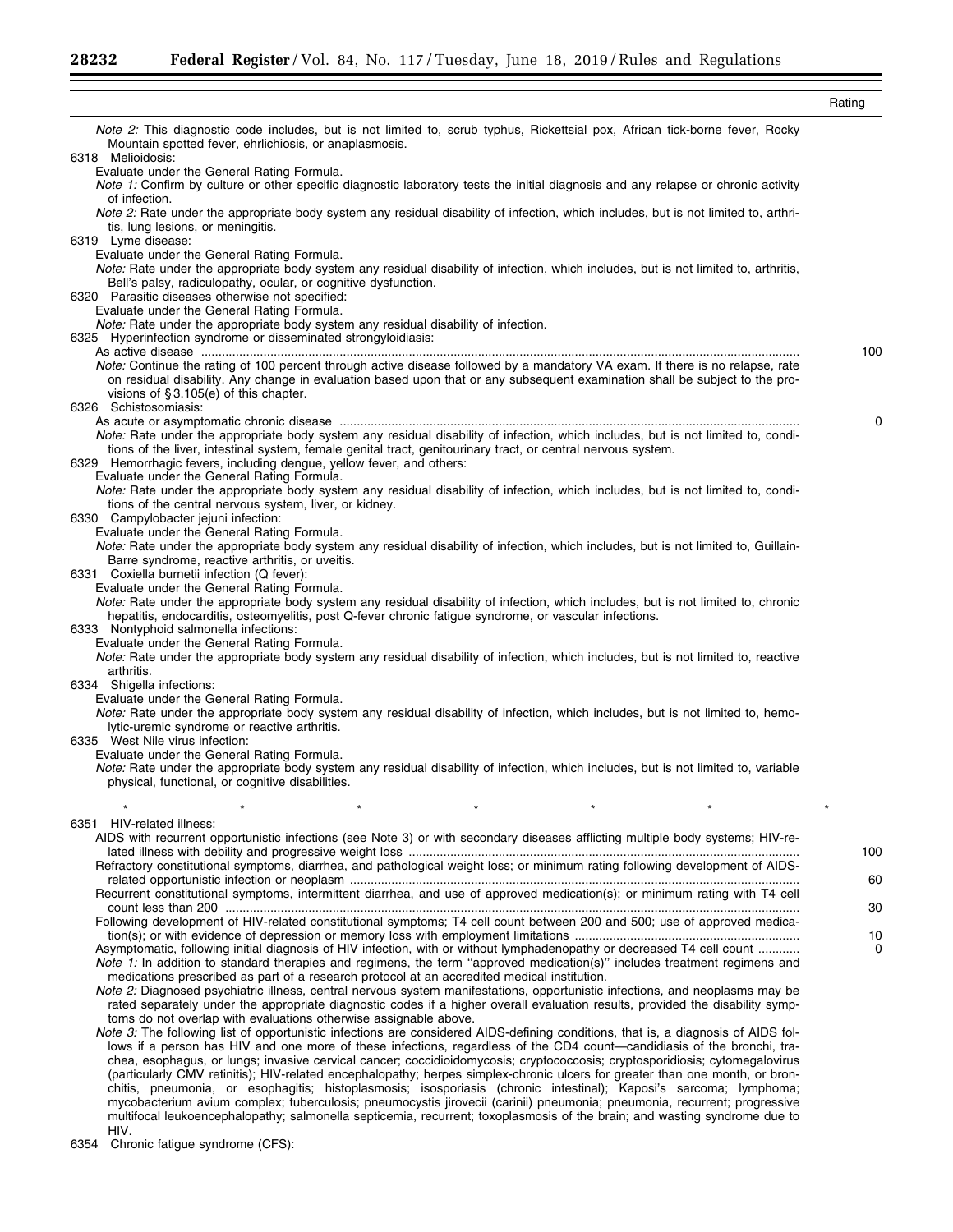|                                                                                                                                                                                                                                                                                                                                                                                             | Rating |
|---------------------------------------------------------------------------------------------------------------------------------------------------------------------------------------------------------------------------------------------------------------------------------------------------------------------------------------------------------------------------------------------|--------|
| Note 2: This diagnostic code includes, but is not limited to, scrub typhus, Rickettsial pox, African tick-borne fever, Rocky<br>Mountain spotted fever, ehrlichiosis, or anaplasmosis.<br>6318 Melioidosis:                                                                                                                                                                                 |        |
| Evaluate under the General Rating Formula.<br>Note 1: Confirm by culture or other specific diagnostic laboratory tests the initial diagnosis and any relapse or chronic activity                                                                                                                                                                                                            |        |
| of infection.<br>Note 2: Rate under the appropriate body system any residual disability of infection, which includes, but is not limited to, arthri-<br>tis, lung lesions, or meningitis.                                                                                                                                                                                                   |        |
| 6319 Lyme disease:<br>Evaluate under the General Rating Formula.                                                                                                                                                                                                                                                                                                                            |        |
| Note: Rate under the appropriate body system any residual disability of infection, which includes, but is not limited to, arthritis,<br>Bell's palsy, radiculopathy, ocular, or cognitive dysfunction.<br>6320 Parasitic diseases otherwise not specified:                                                                                                                                  |        |
| Evaluate under the General Rating Formula.<br><i>Note:</i> Rate under the appropriate body system any residual disability of infection.                                                                                                                                                                                                                                                     |        |
| 6325 Hyperinfection syndrome or disseminated strongyloidiasis:                                                                                                                                                                                                                                                                                                                              |        |
| Note: Continue the rating of 100 percent through active disease followed by a mandatory VA exam. If there is no relapse, rate<br>on residual disability. Any change in evaluation based upon that or any subsequent examination shall be subject to the pro-<br>visions of $\S 3.105(e)$ of this chapter.                                                                                   | 100    |
| 6326 Schistosomiasis:                                                                                                                                                                                                                                                                                                                                                                       | 0      |
| Note: Rate under the appropriate body system any residual disability of infection, which includes, but is not limited to, condi-<br>tions of the liver, intestinal system, female genital tract, genitourinary tract, or central nervous system.<br>6329 Hemorrhagic fevers, including dengue, yellow fever, and others:                                                                    |        |
| Evaluate under the General Rating Formula.<br>Note: Rate under the appropriate body system any residual disability of infection, which includes, but is not limited to, condi-<br>tions of the central nervous system, liver, or kidney.                                                                                                                                                    |        |
| 6330 Campylobacter jejuni infection:<br>Evaluate under the General Rating Formula.                                                                                                                                                                                                                                                                                                          |        |
| Note: Rate under the appropriate body system any residual disability of infection, which includes, but is not limited to, Guillain-                                                                                                                                                                                                                                                         |        |
| Barre syndrome, reactive arthritis, or uveitis.<br>6331 Coxiella burnetii infection (Q fever):                                                                                                                                                                                                                                                                                              |        |
| Evaluate under the General Rating Formula.<br>Note: Rate under the appropriate body system any residual disability of infection, which includes, but is not limited to, chronic<br>hepatitis, endocarditis, osteomyelitis, post Q-fever chronic fatigue syndrome, or vascular infections.                                                                                                   |        |
| 6333 Nontyphoid salmonella infections:<br>Evaluate under the General Rating Formula.                                                                                                                                                                                                                                                                                                        |        |
| Note: Rate under the appropriate body system any residual disability of infection, which includes, but is not limited to, reactive<br>arthritis.                                                                                                                                                                                                                                            |        |
| 6334 Shigella infections:<br>Evaluate under the General Rating Formula.                                                                                                                                                                                                                                                                                                                     |        |
| Note: Rate under the appropriate body system any residual disability of infection, which includes, but is not limited to, hemo-<br>lytic-uremic syndrome or reactive arthritis.<br>6335 West Nile virus infection:                                                                                                                                                                          |        |
| Evaluate under the General Rating Formula.<br>Note: Rate under the appropriate body system any residual disability of infection, which includes, but is not limited to, variable<br>physical, functional, or cognitive disabilities.                                                                                                                                                        |        |
|                                                                                                                                                                                                                                                                                                                                                                                             |        |
| 6351 HIV-related illness:                                                                                                                                                                                                                                                                                                                                                                   |        |
| AIDS with recurrent opportunistic infections (see Note 3) or with secondary diseases afflicting multiple body systems; HIV-re-                                                                                                                                                                                                                                                              | 100    |
| Refractory constitutional symptoms, diarrhea, and pathological weight loss; or minimum rating following development of AIDS-                                                                                                                                                                                                                                                                |        |
| Recurrent constitutional symptoms, intermittent diarrhea, and use of approved medication(s); or minimum rating with T4 cell                                                                                                                                                                                                                                                                 | 60     |
|                                                                                                                                                                                                                                                                                                                                                                                             | 30     |
| Following development of HIV-related constitutional symptoms; T4 cell count between 200 and 500; use of approved medica-                                                                                                                                                                                                                                                                    | 10     |
| Asymptomatic, following initial diagnosis of HIV infection, with or without lymphadenopathy or decreased T4 cell count<br>Note 1: In addition to standard therapies and regimens, the term "approved medication(s)" includes treatment regimens and<br>medications prescribed as part of a research protocol at an accredited medical institution.                                          | 0      |
| Note 2: Diagnosed psychiatric illness, central nervous system manifestations, opportunistic infections, and neoplasms may be<br>rated separately under the appropriate diagnostic codes if a higher overall evaluation results, provided the disability symp-<br>toms do not overlap with evaluations otherwise assignable above.                                                           |        |
| Note 3: The following list of opportunistic infections are considered AIDS-defining conditions, that is, a diagnosis of AIDS fol-<br>lows if a person has HIV and one more of these infections, regardless of the CD4 count—candidiasis of the bronchi, tra-<br>chea, esophagus, or lungs; invasive cervical cancer; coccidioidomycosis; cryptococcosis; cryptosporidiosis; cytomegalovirus |        |
| (particularly CMV retinitis); HIV-related encephalopathy; herpes simplex-chronic ulcers for greater than one month, or bron-                                                                                                                                                                                                                                                                |        |

chitis, pneumonia, or esophagitis; histoplasmosis; isosporiasis (chronic intestinal); Kaposi's sarcoma; lymphoma; mycobacterium avium complex; tuberculosis; pneumocystis jirovecii (carinii) pneumonia; pneumonia, recurrent; progressive multifocal leukoencephalopathy; salmonella septicemia, recurrent; toxoplasmosis of the brain; and wasting syndrome due to

HIV. 6354 Chronic fatigue syndrome (CFS):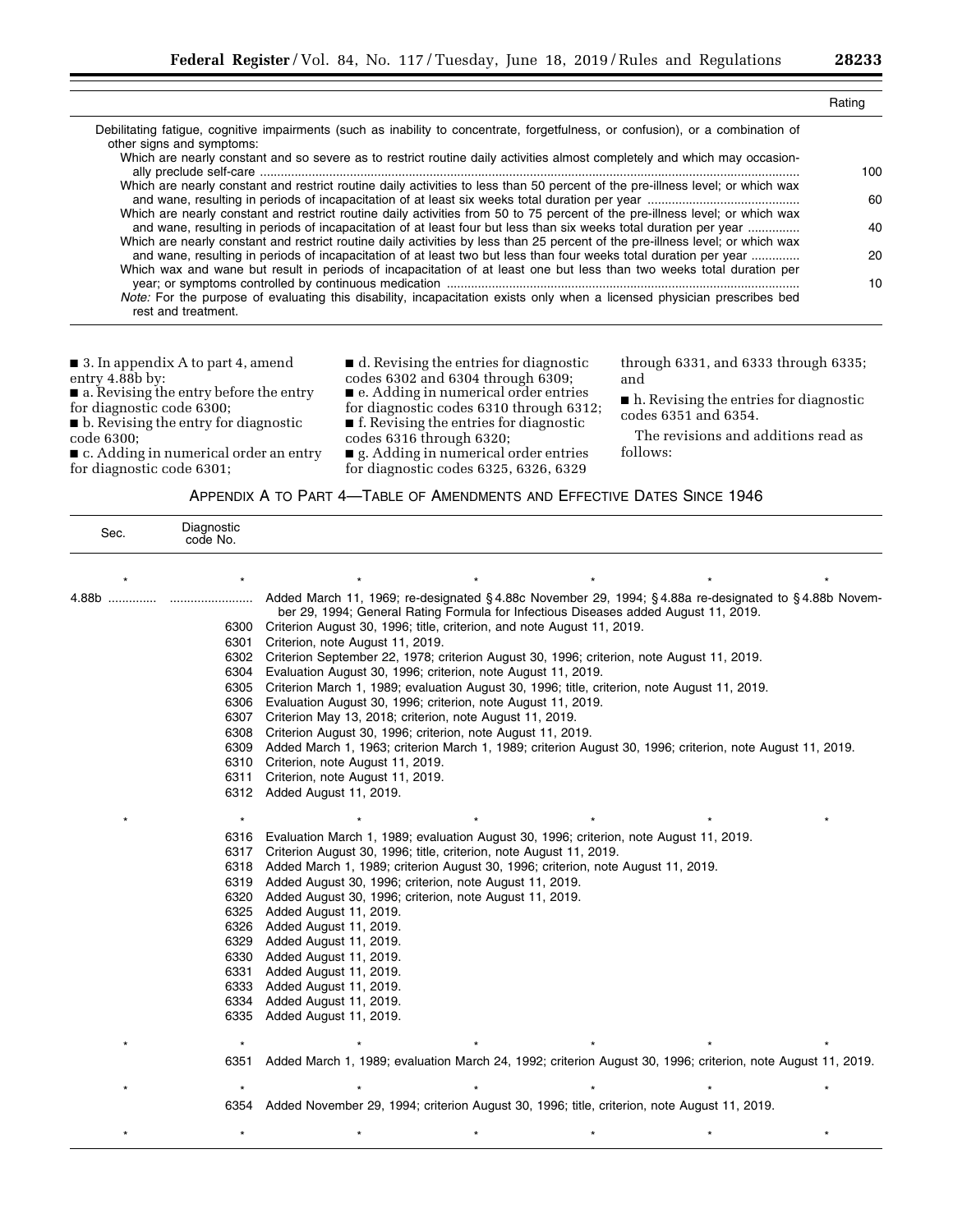|                                                                                                                                                                                                                                                     | Rating |
|-----------------------------------------------------------------------------------------------------------------------------------------------------------------------------------------------------------------------------------------------------|--------|
| Debilitating fatigue, cognitive impairments (such as inability to concentrate, forgetfulness, or confusion), or a combination of<br>other signs and symptoms:                                                                                       |        |
| Which are nearly constant and so severe as to restrict routine daily activities almost completely and which may occasion-                                                                                                                           | 100    |
| Which are nearly constant and restrict routine daily activities to less than 50 percent of the pre-illness level; or which wax                                                                                                                      |        |
| Which are nearly constant and restrict routine daily activities from 50 to 75 percent of the pre-illness level; or which wax                                                                                                                        | 60     |
| and wane, resulting in periods of incapacitation of at least four but less than six weeks total duration per year                                                                                                                                   | 40     |
| Which are nearly constant and restrict routine daily activities by less than 25 percent of the pre-illness level; or which wax<br>and wane, resulting in periods of incapacitation of at least two but less than four weeks total duration per year | 20     |
| Which wax and wane but result in periods of incapacitation of at least one but less than two weeks total duration per                                                                                                                               | 10     |
| Note: For the purpose of evaluating this disability, incapacitation exists only when a licensed physician prescribes bed<br>rest and treatment.                                                                                                     |        |

■ 3. In appendix A to part 4, amend entry 4.88b by: ■ a. Revising the entry before the entry for diagnostic code 6300; ■ b. Revising the entry for diagnostic code 6300; ■ c. Adding in numerical order an entry ■ d. Revising the entries for diagnostic codes 6302 and 6304 through 6309; ■ e. Adding in numerical order entries for diagnostic codes 6310 through 6312; ■ f. Revising the entries for diagnostic codes 6316 through 6320; and

for diagnostic code 6301;

■ g. Adding in numerical order entries for diagnostic codes 6325, 6326, 6329

through 6331, and 6333 through 6335;

■ h. Revising the entries for diagnostic codes 6351 and 6354.

The revisions and additions read as follows:

| APPENDIX A TO PART 4-TABLE OF AMENDMENTS AND EFFECTIVE DATES SINCE 1946 |  |  |  |  |
|-------------------------------------------------------------------------|--|--|--|--|
|-------------------------------------------------------------------------|--|--|--|--|

| Sec.  | Diagnostic<br>code No. |                                                                                                                                                                                               |  |  |  |  |  |  |  |
|-------|------------------------|-----------------------------------------------------------------------------------------------------------------------------------------------------------------------------------------------|--|--|--|--|--|--|--|
|       |                        |                                                                                                                                                                                               |  |  |  |  |  |  |  |
| 4.88b |                        | Added March 11, 1969; re-designated § 4.88c November 29, 1994; § 4.88a re-designated to § 4.88b Novem-<br>ber 29, 1994; General Rating Formula for Infectious Diseases added August 11, 2019. |  |  |  |  |  |  |  |
|       | 6300<br>6301           | Criterion August 30, 1996; title, criterion, and note August 11, 2019.<br>Criterion, note August 11, 2019.                                                                                    |  |  |  |  |  |  |  |
|       | 6302                   | Criterion September 22, 1978; criterion August 30, 1996; criterion, note August 11, 2019.                                                                                                     |  |  |  |  |  |  |  |
|       | 6304                   | Evaluation August 30, 1996; criterion, note August 11, 2019.                                                                                                                                  |  |  |  |  |  |  |  |
|       | 6305                   | Criterion March 1, 1989; evaluation August 30, 1996; title, criterion, note August 11, 2019.                                                                                                  |  |  |  |  |  |  |  |
|       | 6306                   | Evaluation August 30, 1996; criterion, note August 11, 2019.                                                                                                                                  |  |  |  |  |  |  |  |
|       | 6307                   | Criterion May 13, 2018; criterion, note August 11, 2019.                                                                                                                                      |  |  |  |  |  |  |  |
|       | 6308                   | Criterion August 30, 1996; criterion, note August 11, 2019.                                                                                                                                   |  |  |  |  |  |  |  |
|       | 6309                   | Added March 1, 1963; criterion March 1, 1989; criterion August 30, 1996; criterion, note August 11, 2019.                                                                                     |  |  |  |  |  |  |  |
|       | 6310                   | Criterion, note August 11, 2019.                                                                                                                                                              |  |  |  |  |  |  |  |
|       | 6311                   | Criterion, note August 11, 2019.                                                                                                                                                              |  |  |  |  |  |  |  |
|       | 6312                   | Added August 11, 2019.                                                                                                                                                                        |  |  |  |  |  |  |  |
|       |                        |                                                                                                                                                                                               |  |  |  |  |  |  |  |
|       | 6316                   | Evaluation March 1, 1989; evaluation August 30, 1996; criterion, note August 11, 2019.                                                                                                        |  |  |  |  |  |  |  |
|       | 6317                   | Criterion August 30, 1996; title, criterion, note August 11, 2019.                                                                                                                            |  |  |  |  |  |  |  |
|       | 6318                   | Added March 1, 1989; criterion August 30, 1996; criterion, note August 11, 2019.                                                                                                              |  |  |  |  |  |  |  |
|       | 6319                   | Added August 30, 1996; criterion, note August 11, 2019.                                                                                                                                       |  |  |  |  |  |  |  |
|       | 6320                   | Added August 30, 1996; criterion, note August 11, 2019.                                                                                                                                       |  |  |  |  |  |  |  |
|       | 6325                   | Added August 11, 2019.                                                                                                                                                                        |  |  |  |  |  |  |  |
|       | 6326<br>6329           | Added August 11, 2019.                                                                                                                                                                        |  |  |  |  |  |  |  |
|       | 6330                   | Added August 11, 2019.<br>Added August 11, 2019.                                                                                                                                              |  |  |  |  |  |  |  |
|       | 6331                   | Added August 11, 2019.                                                                                                                                                                        |  |  |  |  |  |  |  |
|       | 6333                   | Added August 11, 2019.                                                                                                                                                                        |  |  |  |  |  |  |  |
|       | 6334                   | Added August 11, 2019.                                                                                                                                                                        |  |  |  |  |  |  |  |
|       | 6335                   | Added August 11, 2019.                                                                                                                                                                        |  |  |  |  |  |  |  |
|       |                        |                                                                                                                                                                                               |  |  |  |  |  |  |  |
|       | $\star$                |                                                                                                                                                                                               |  |  |  |  |  |  |  |
|       | 6351                   | Added March 1, 1989; evaluation March 24, 1992; criterion August 30, 1996; criterion, note August 11, 2019.                                                                                   |  |  |  |  |  |  |  |
|       |                        |                                                                                                                                                                                               |  |  |  |  |  |  |  |
|       | 6354                   | Added November 29, 1994; criterion August 30, 1996; title, criterion, note August 11, 2019.                                                                                                   |  |  |  |  |  |  |  |
|       |                        |                                                                                                                                                                                               |  |  |  |  |  |  |  |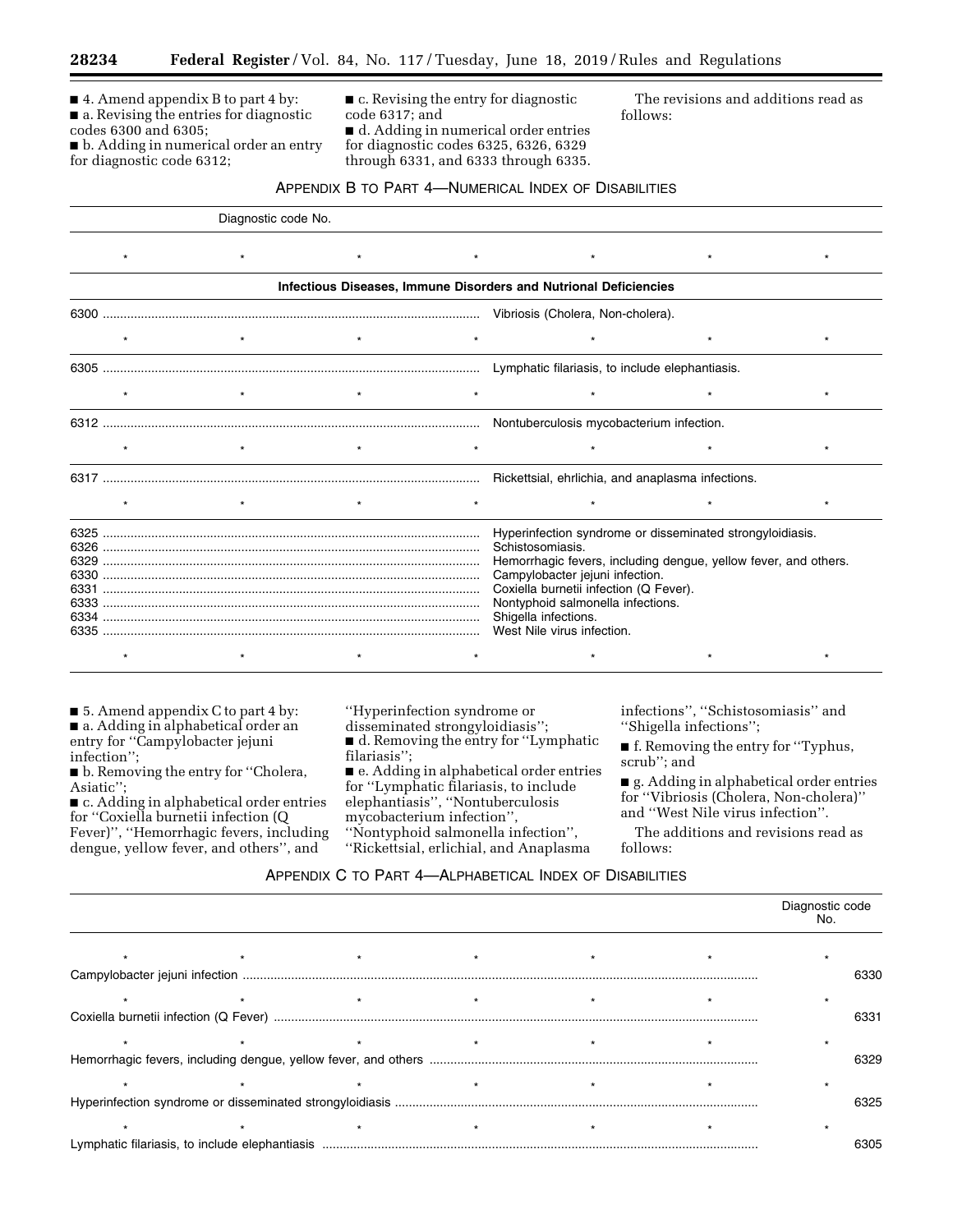■ 4. Amend appendix B to part 4 by: ■ a. Revising the entries for diagnostic codes 6300 and 6305;

■ b. Adding in numerical order an entry for diagnostic code 6312;

■ c. Revising the entry for diagnostic code 6317; and ■ d. Adding in numerical order entries for diagnostic codes 6325, 6326, 6329 through 6331, and 6333 through 6335.

The revisions and additions read as follows:

#### APPENDIX B TO PART 4—NUMERICAL INDEX OF DISABILITIES

|      |         | Diagnostic code No. |         |                                   |                                                                                                                                                                                                                                                                                                                          |  |         |  |
|------|---------|---------------------|---------|-----------------------------------|--------------------------------------------------------------------------------------------------------------------------------------------------------------------------------------------------------------------------------------------------------------------------------------------------------------------------|--|---------|--|
|      | $\star$ |                     | $\star$ | $\star$                           |                                                                                                                                                                                                                                                                                                                          |  | $\star$ |  |
|      |         |                     |         |                                   | Infectious Diseases, Immune Disorders and Nutrional Deficiencies                                                                                                                                                                                                                                                         |  |         |  |
|      |         |                     |         | Vibriosis (Cholera, Non-cholera). |                                                                                                                                                                                                                                                                                                                          |  |         |  |
|      |         |                     |         |                                   |                                                                                                                                                                                                                                                                                                                          |  |         |  |
|      |         |                     |         |                                   |                                                                                                                                                                                                                                                                                                                          |  |         |  |
|      | $\star$ | $\star$             |         |                                   |                                                                                                                                                                                                                                                                                                                          |  | $\star$ |  |
|      |         |                     |         |                                   |                                                                                                                                                                                                                                                                                                                          |  |         |  |
|      | $\star$ |                     |         |                                   |                                                                                                                                                                                                                                                                                                                          |  |         |  |
|      |         |                     |         |                                   |                                                                                                                                                                                                                                                                                                                          |  |         |  |
|      | $\star$ | $\star$             |         |                                   |                                                                                                                                                                                                                                                                                                                          |  | $\star$ |  |
| 6331 |         |                     |         |                                   | Hyperinfection syndrome or disseminated strongyloidiasis.<br>Schistosomiasis.<br>Hemorrhagic fevers, including dengue, yellow fever, and others.<br>Campylobacter jejuni infection.<br>Coxiella burnetii infection (Q Fever).<br>Nontyphoid salmonella infections.<br>Shigella infections.<br>West Nile virus infection. |  |         |  |
|      |         |                     |         |                                   |                                                                                                                                                                                                                                                                                                                          |  |         |  |

■ 5. Amend appendix C to part 4 by: ■ a. Adding in alphabetical order an entry for ''Campylobacter jejuni

infection''; ■ b. Removing the entry for "Cholera, Asiatic'';

■ c. Adding in alphabetical order entries for ''Coxiella burnetii infection (Q Fever)'', ''Hemorrhagic fevers, including dengue, yellow fever, and others'', and

## ''Hyperinfection syndrome or disseminated strongyloidiasis''; ■ d. Removing the entry for "Lymphatic filariasis'';

■ e. Adding in alphabetical order entries for ''Lymphatic filariasis, to include elephantiasis'', ''Nontuberculosis mycobacterium infection'', ''Nontyphoid salmonella infection'',

''Rickettsial, erlichial, and Anaplasma

infections'', ''Schistosomiasis'' and ''Shigella infections'';

■ f. Removing the entry for ''Typhus, scrub''; and

■ g. Adding in alphabetical order entries for ''Vibriosis (Cholera, Non-cholera)'' and ''West Nile virus infection''.

The additions and revisions read as follows:

## APPENDIX C TO PART 4—ALPHABETICAL INDEX OF DISABILITIES

|  |  |  |  |  |  | Diagnostic code<br>No. |
|--|--|--|--|--|--|------------------------|
|  |  |  |  |  |  |                        |
|  |  |  |  |  |  | 6330                   |
|  |  |  |  |  |  |                        |
|  |  |  |  |  |  | 6331                   |
|  |  |  |  |  |  |                        |
|  |  |  |  |  |  | 6329                   |
|  |  |  |  |  |  |                        |
|  |  |  |  |  |  | 6325                   |
|  |  |  |  |  |  |                        |
|  |  |  |  |  |  | 6305                   |